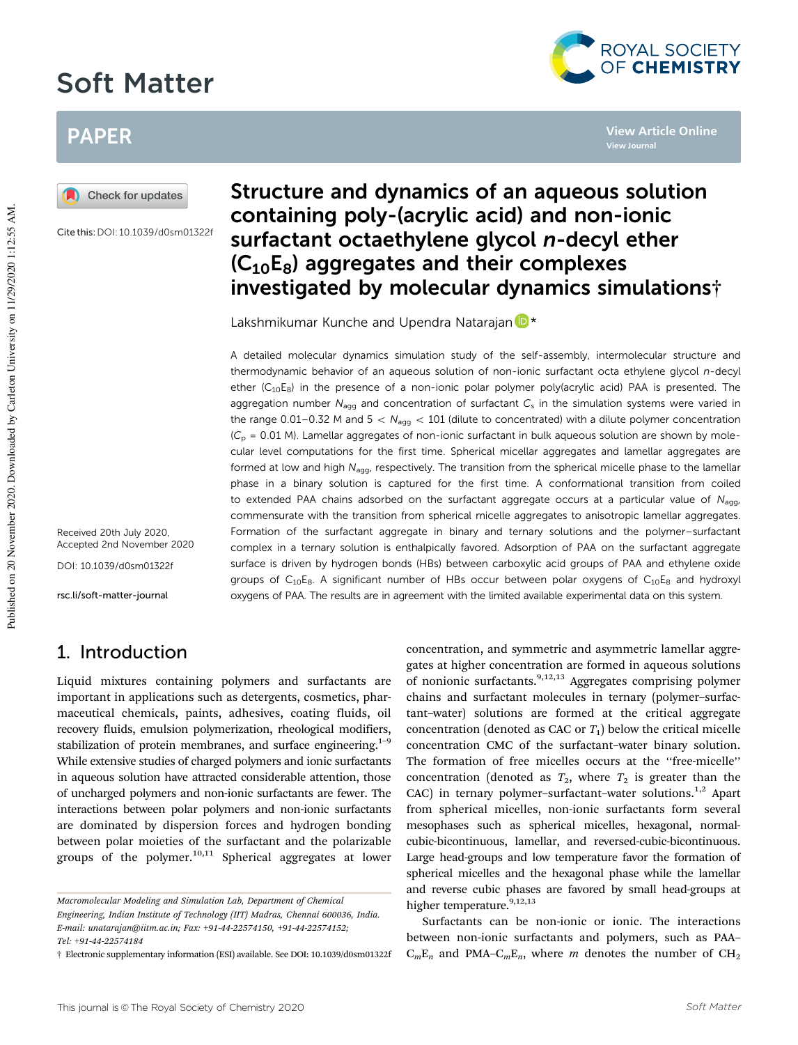# Soft Matter



**View Journal**

**View Article Online**

## PAPER



Cite this: DOI: 10.1039/d0sm01322f

Received 20th July 2020, Accepted 2nd November 2020

DOI: 10.1039/d0sm01322f

rsc.li/soft-matter-journal

## 1. Introduction

Liquid mixtures containing polymers and surfactants are important in applications such as detergents, cosmetics, pharmaceutical chemicals, paints, adhesives, coating fluids, oil recovery fluids, emulsion polymerization, rheological modifiers, stabilization of protein membranes, and surface engineering.<sup>1-9</sup> While extensive studies of charged polymers and ionic surfactants in aqueous solution have attracted considerable attention, those of uncharged polymers and non-ionic surfactants are fewer. The interactions between polar polymers and non-ionic surfactants are dominated by dispersion forces and hydrogen bonding between polar moieties of the surfactant and the polarizable groups of the polymer.<sup>10,11</sup> Spherical aggregates at lower

## Structure and dynamics of an aqueous solution containing poly-(acrylic acid) and non-ionic surfactant octaethylene glycol n-decyl ether  $(C_{10}E_8)$  aggregates and their complexes investigated by molecular dynamics simulations†

Lakshmikumar Kunche and Upendra Natarajan D<sup>\*</sup>

A detailed molecular dynamics simulation study of the self-assembly, intermolecular structure and thermodynamic behavior of an aqueous solution of non-ionic surfactant octa ethylene glycol n-decyl ether  $(C_{10}E_8)$  in the presence of a non-ionic polar polymer poly(acrylic acid) PAA is presented. The aggregation number  $N_{\text{agg}}$  and concentration of surfactant  $C_{\text{s}}$  in the simulation systems were varied in the range 0.01–0.32 M and  $5 < N_{\text{agg}} < 101$  (dilute to concentrated) with a dilute polymer concentration  $(C<sub>p</sub> = 0.01$  M). Lamellar aggregates of non-ionic surfactant in bulk aqueous solution are shown by molecular level computations for the first time. Spherical micellar aggregates and lamellar aggregates are formed at low and high  $N_{\text{aqq}}$ , respectively. The transition from the spherical micelle phase to the lamellar phase in a binary solution is captured for the first time. A conformational transition from coiled to extended PAA chains adsorbed on the surfactant aggregate occurs at a particular value of  $N_{\text{a}q}$ commensurate with the transition from spherical micelle aggregates to anisotropic lamellar aggregates. Formation of the surfactant aggregate in binary and ternary solutions and the polymer–surfactant complex in a ternary solution is enthalpically favored. Adsorption of PAA on the surfactant aggregate surface is driven by hydrogen bonds (HBs) between carboxylic acid groups of PAA and ethylene oxide groups of  $C_{10}E_8$ . A significant number of HBs occur between polar oxygens of  $C_{10}E_8$  and hydroxyl oxygens of PAA. The results are in agreement with the limited available experimental data on this system.

> concentration, and symmetric and asymmetric lamellar aggregates at higher concentration are formed in aqueous solutions of nonionic surfactants.  $9,12,13$  Aggregates comprising polymer chains and surfactant molecules in ternary (polymer–surfactant–water) solutions are formed at the critical aggregate concentration (denoted as CAC or  $T_1$ ) below the critical micelle concentration CMC of the surfactant–water binary solution. The formation of free micelles occurs at the ''free-micelle'' concentration (denoted as  $T_2$ , where  $T_2$  is greater than the CAC) in ternary polymer–surfactant–water solutions.<sup>1,2</sup> Apart from spherical micelles, non-ionic surfactants form several mesophases such as spherical micelles, hexagonal, normalcubic-bicontinuous, lamellar, and reversed-cubic-bicontinuous. Large head-groups and low temperature favor the formation of spherical micelles and the hexagonal phase while the lamellar and reverse cubic phases are favored by small head-groups at higher temperature.<sup>9,12,13</sup>

> Surfactants can be non-ionic or ionic. The interactions between non-ionic surfactants and polymers, such as PAA–  $C_mE_n$  and PMA– $C_mE_n$ , where m denotes the number of  $CH_2$

Macromolecular Modeling and Simulation Lab, Department of Chemical Engineering, Indian Institute of Technology (IIT) Madras, Chennai 600036, India. E-mail: unatarajan@iitm.ac.in; Fax: +91-44-22574150, +91-44-22574152; Tel: +91-44-22574184

<sup>†</sup> Electronic supplementary information (ESI) available. See DOI: 10.1039/d0sm01322f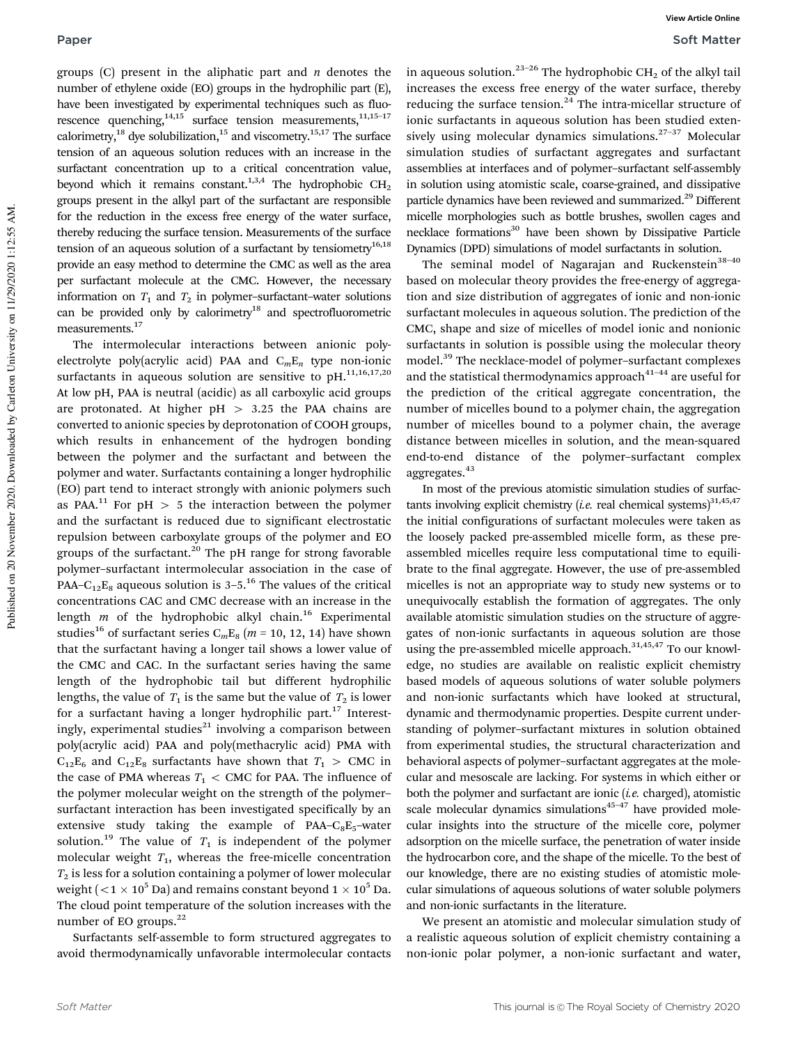groups  $(C)$  present in the aliphatic part and *n* denotes the number of ethylene oxide (EO) groups in the hydrophilic part (E), have been investigated by experimental techniques such as fluorescence quenching, $14,15$  surface tension measurements, $11,15-17$ calorimetry,<sup>18</sup> dye solubilization,<sup>15</sup> and viscometry.<sup>15,17</sup> The surface tension of an aqueous solution reduces with an increase in the surfactant concentration up to a critical concentration value, beyond which it remains constant.<sup>1,3,4</sup> The hydrophobic  $CH<sub>2</sub>$ groups present in the alkyl part of the surfactant are responsible for the reduction in the excess free energy of the water surface, thereby reducing the surface tension. Measurements of the surface tension of an aqueous solution of a surfactant by tensiometry $16,18$ provide an easy method to determine the CMC as well as the area per surfactant molecule at the CMC. However, the necessary information on  $T_1$  and  $T_2$  in polymer–surfactant–water solutions can be provided only by calorimetry<sup>18</sup> and spectrofluorometric measurements.<sup>17</sup>

The intermolecular interactions between anionic polyelectrolyte poly(acrylic acid) PAA and  $C_mE_n$  type non-ionic surfactants in aqueous solution are sensitive to  $pH.$ <sup>11,16,17,20</sup> At low pH, PAA is neutral (acidic) as all carboxylic acid groups are protonated. At higher  $pH > 3.25$  the PAA chains are converted to anionic species by deprotonation of COOH groups, which results in enhancement of the hydrogen bonding between the polymer and the surfactant and between the polymer and water. Surfactants containing a longer hydrophilic (EO) part tend to interact strongly with anionic polymers such as PAA.<sup>11</sup> For pH  $> 5$  the interaction between the polymer and the surfactant is reduced due to significant electrostatic repulsion between carboxylate groups of the polymer and EO groups of the surfactant. $^{20}$  The pH range for strong favorable polymer–surfactant intermolecular association in the case of PAA– $C_{12}E_8$  aqueous solution is 3–5.<sup>16</sup> The values of the critical concentrations CAC and CMC decrease with an increase in the length  $m$  of the hydrophobic alkyl chain.<sup>16</sup> Experimental studies<sup>16</sup> of surfactant series C<sub>m</sub>E<sub>8</sub> ( $m = 10, 12, 14$ ) have shown that the surfactant having a longer tail shows a lower value of the CMC and CAC. In the surfactant series having the same length of the hydrophobic tail but different hydrophilic lengths, the value of  $T_1$  is the same but the value of  $T_2$  is lower for a surfactant having a longer hydrophilic part. $17$  Interestingly, experimental studies $^{21}$  involving a comparison between poly(acrylic acid) PAA and poly(methacrylic acid) PMA with  $C_{12}E_6$  and  $C_{12}E_8$  surfactants have shown that  $T_1 > \text{CMC}$  in the case of PMA whereas  $T_1 <$  CMC for PAA. The influence of the polymer molecular weight on the strength of the polymer– surfactant interaction has been investigated specifically by an extensive study taking the example of  $PAA-C_8E_5$ -water solution.<sup>19</sup> The value of  $T_1$  is independent of the polymer molecular weight  $T_1$ , whereas the free-micelle concentration  $T_2$  is less for a solution containing a polymer of lower molecular weight (  $<$  1  $\times$  10 $^{5}$  Da) and remains constant beyond 1  $\times$  10 $^{5}$  Da. The cloud point temperature of the solution increases with the number of EO groups.<sup>22</sup>

Surfactants self-assemble to form structured aggregates to avoid thermodynamically unfavorable intermolecular contacts in aqueous solution.<sup>23-26</sup> The hydrophobic  $CH_2$  of the alkyl tail increases the excess free energy of the water surface, thereby reducing the surface tension.<sup>24</sup> The intra-micellar structure of ionic surfactants in aqueous solution has been studied extensively using molecular dynamics simulations.<sup>27-37</sup> Molecular simulation studies of surfactant aggregates and surfactant assemblies at interfaces and of polymer–surfactant self-assembly in solution using atomistic scale, coarse-grained, and dissipative particle dynamics have been reviewed and summarized.<sup>29</sup> Different micelle morphologies such as bottle brushes, swollen cages and necklace formations<sup>30</sup> have been shown by Dissipative Particle Dynamics (DPD) simulations of model surfactants in solution.

The seminal model of Nagarajan and Ruckenstein $38-40$ based on molecular theory provides the free-energy of aggregation and size distribution of aggregates of ionic and non-ionic surfactant molecules in aqueous solution. The prediction of the CMC, shape and size of micelles of model ionic and nonionic surfactants in solution is possible using the molecular theory model.<sup>39</sup> The necklace-model of polymer–surfactant complexes and the statistical thermodynamics approach $41-44$  are useful for the prediction of the critical aggregate concentration, the number of micelles bound to a polymer chain, the aggregation number of micelles bound to a polymer chain, the average distance between micelles in solution, and the mean-squared end-to-end distance of the polymer–surfactant complex aggregates.  $\real^{43}$ 

In most of the previous atomistic simulation studies of surfactants involving explicit chemistry (*i.e.* real chemical systems)<sup>31,45,47</sup> the initial configurations of surfactant molecules were taken as the loosely packed pre-assembled micelle form, as these preassembled micelles require less computational time to equilibrate to the final aggregate. However, the use of pre-assembled micelles is not an appropriate way to study new systems or to unequivocally establish the formation of aggregates. The only available atomistic simulation studies on the structure of aggregates of non-ionic surfactants in aqueous solution are those using the pre-assembled micelle approach.<sup>31,45,47</sup> To our knowledge, no studies are available on realistic explicit chemistry based models of aqueous solutions of water soluble polymers and non-ionic surfactants which have looked at structural, dynamic and thermodynamic properties. Despite current understanding of polymer–surfactant mixtures in solution obtained from experimental studies, the structural characterization and behavioral aspects of polymer–surfactant aggregates at the molecular and mesoscale are lacking. For systems in which either or both the polymer and surfactant are ionic  $(i.e.$  charged), atomistic scale molecular dynamics simulations $45-47$  have provided molecular insights into the structure of the micelle core, polymer adsorption on the micelle surface, the penetration of water inside the hydrocarbon core, and the shape of the micelle. To the best of our knowledge, there are no existing studies of atomistic molecular simulations of aqueous solutions of water soluble polymers and non-ionic surfactants in the literature.

We present an atomistic and molecular simulation study of a realistic aqueous solution of explicit chemistry containing a non-ionic polar polymer, a non-ionic surfactant and water,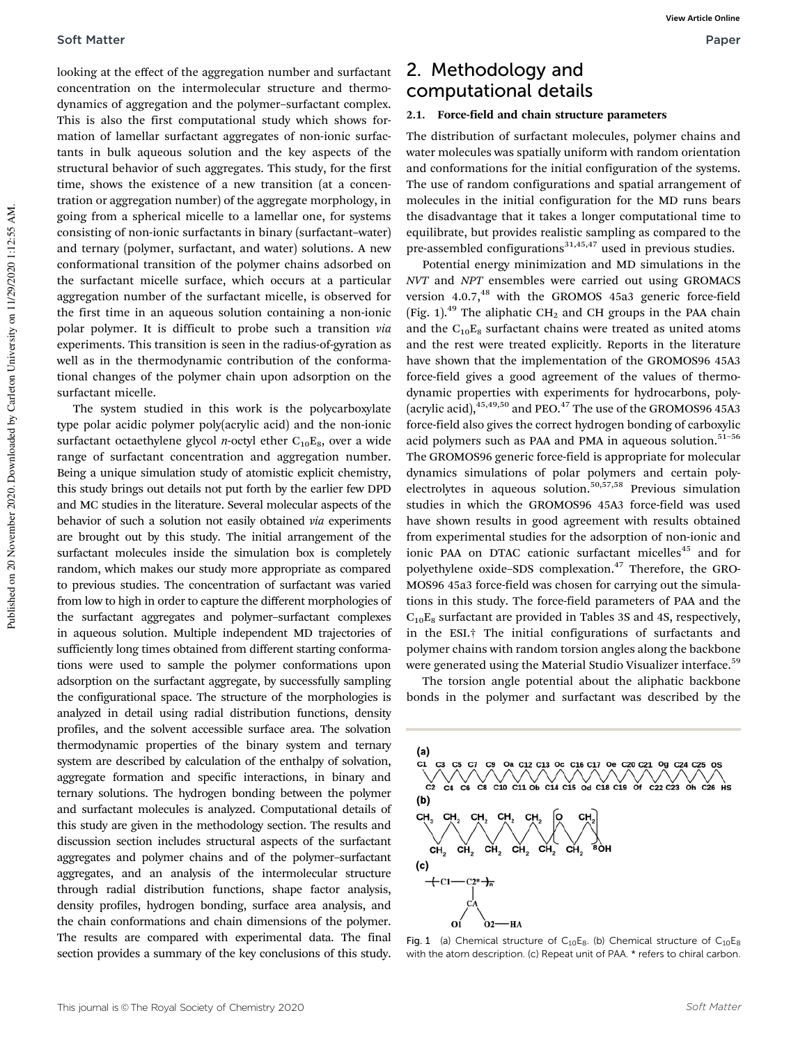looking at the effect of the aggregation number and surfactant concentration on the intermolecular structure and thermodynamics of aggregation and the polymer–surfactant complex. This is also the first computational study which shows formation of lamellar surfactant aggregates of non-ionic surfactants in bulk aqueous solution and the key aspects of the structural behavior of such aggregates. This study, for the first time, shows the existence of a new transition (at a concentration or aggregation number) of the aggregate morphology, in going from a spherical micelle to a lamellar one, for systems consisting of non-ionic surfactants in binary (surfactant–water) and ternary (polymer, surfactant, and water) solutions. A new conformational transition of the polymer chains adsorbed on the surfactant micelle surface, which occurs at a particular aggregation number of the surfactant micelle, is observed for the first time in an aqueous solution containing a non-ionic polar polymer. It is difficult to probe such a transition via experiments. This transition is seen in the radius-of-gyration as well as in the thermodynamic contribution of the conformational changes of the polymer chain upon adsorption on the surfactant micelle.

The system studied in this work is the polycarboxylate type polar acidic polymer poly(acrylic acid) and the non-ionic surfactant octaethylene glycol *n*-octyl ether  $C_{10}E_8$ , over a wide range of surfactant concentration and aggregation number. Being a unique simulation study of atomistic explicit chemistry, this study brings out details not put forth by the earlier few DPD and MC studies in the literature. Several molecular aspects of the behavior of such a solution not easily obtained via experiments are brought out by this study. The initial arrangement of the surfactant molecules inside the simulation box is completely random, which makes our study more appropriate as compared to previous studies. The concentration of surfactant was varied from low to high in order to capture the different morphologies of the surfactant aggregates and polymer–surfactant complexes in aqueous solution. Multiple independent MD trajectories of sufficiently long times obtained from different starting conformations were used to sample the polymer conformations upon adsorption on the surfactant aggregate, by successfully sampling the configurational space. The structure of the morphologies is analyzed in detail using radial distribution functions, density profiles, and the solvent accessible surface area. The solvation thermodynamic properties of the binary system and ternary system are described by calculation of the enthalpy of solvation, aggregate formation and specific interactions, in binary and ternary solutions. The hydrogen bonding between the polymer and surfactant molecules is analyzed. Computational details of this study are given in the methodology section. The results and discussion section includes structural aspects of the surfactant aggregates and polymer chains and of the polymer–surfactant aggregates, and an analysis of the intermolecular structure through radial distribution functions, shape factor analysis, density profiles, hydrogen bonding, surface area analysis, and the chain conformations and chain dimensions of the polymer. The results are compared with experimental data. The final section provides a summary of the key conclusions of this study.

## 2. Methodology and computational details

#### 2.1. Force-field and chain structure parameters

The distribution of surfactant molecules, polymer chains and water molecules was spatially uniform with random orientation and conformations for the initial configuration of the systems. The use of random configurations and spatial arrangement of molecules in the initial configuration for the MD runs bears the disadvantage that it takes a longer computational time to equilibrate, but provides realistic sampling as compared to the pre-assembled configurations $31,45,47$  used in previous studies.

Potential energy minimization and MD simulations in the NVT and NPT ensembles were carried out using GROMACS version 4.0.7,<sup>48</sup> with the GROMOS 45a3 generic force-field (Fig. 1).<sup>49</sup> The aliphatic CH<sub>2</sub> and CH groups in the PAA chain and the  $C_{10}E_8$  surfactant chains were treated as united atoms and the rest were treated explicitly. Reports in the literature have shown that the implementation of the GROMOS96 45A3 force-field gives a good agreement of the values of thermodynamic properties with experiments for hydrocarbons, poly- (acrylic acid),  $45,49,50$  and PEO. $47$  The use of the GROMOS96 45A3 force-field also gives the correct hydrogen bonding of carboxylic acid polymers such as PAA and PMA in aqueous solution. $51-56$ The GROMOS96 generic force-field is appropriate for molecular dynamics simulations of polar polymers and certain polyelectrolytes in aqueous solution.50,57,58 Previous simulation studies in which the GROMOS96 45A3 force-field was used have shown results in good agreement with results obtained from experimental studies for the adsorption of non-ionic and ionic PAA on DTAC cationic surfactant micelles<sup>45</sup> and for polyethylene oxide–SDS complexation.<sup>47</sup> Therefore, the GRO-MOS96 45a3 force-field was chosen for carrying out the simulations in this study. The force-field parameters of PAA and the  $C_{10}E_8$  surfactant are provided in Tables 3S and 4S, respectively, in the ESI.† The initial configurations of surfactants and polymer chains with random torsion angles along the backbone were generated using the Material Studio Visualizer interface.<sup>59</sup>

The torsion angle potential about the aliphatic backbone bonds in the polymer and surfactant was described by the



Fig. 1 (a) Chemical structure of  $C_{10}E_8$ . (b) Chemical structure of  $C_{10}E_8$ with the atom description. (c) Repeat unit of PAA. \* refers to chiral carbon.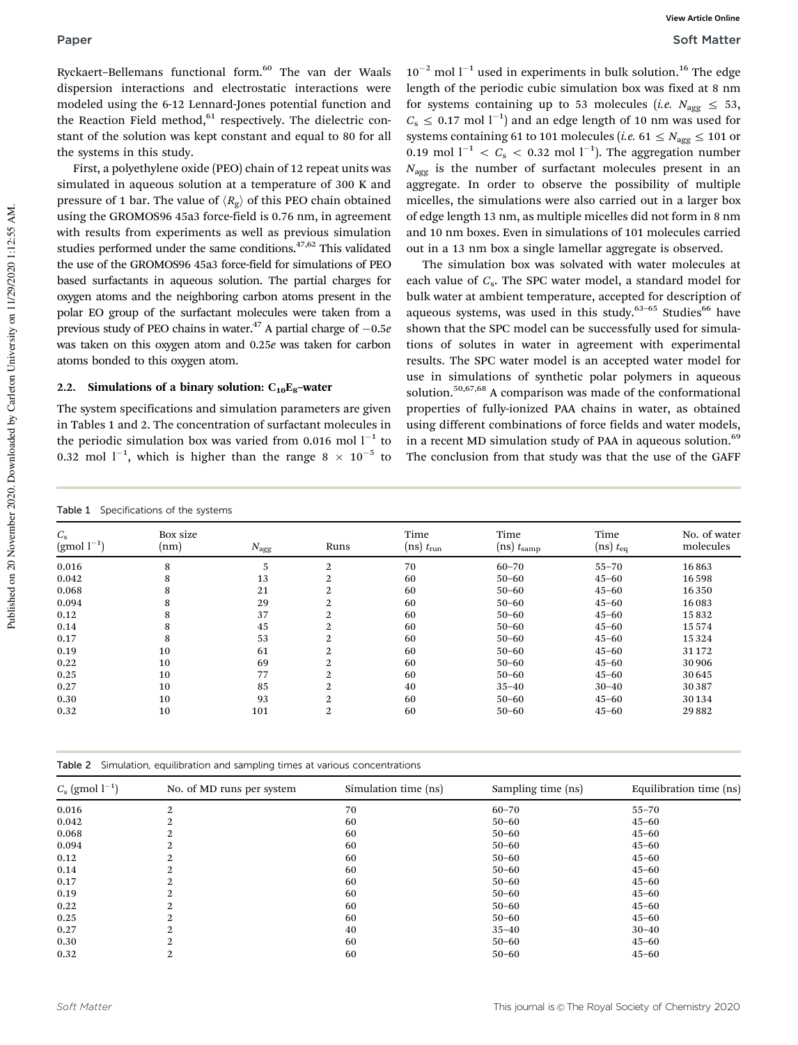Ryckaert-Bellemans functional form.<sup>60</sup> The van der Waals dispersion interactions and electrostatic interactions were modeled using the 6-12 Lennard-Jones potential function and the Reaction Field method, $61$  respectively. The dielectric constant of the solution was kept constant and equal to 80 for all the systems in this study.

First, a polyethylene oxide (PEO) chain of 12 repeat units was simulated in aqueous solution at a temperature of 300 K and pressure of 1 bar. The value of  $\langle R_{\rm g} \rangle$  of this PEO chain obtained using the GROMOS96 45a3 force-field is 0.76 nm, in agreement with results from experiments as well as previous simulation studies performed under the same conditions.<sup>47,62</sup> This validated the use of the GROMOS96 45a3 force-field for simulations of PEO based surfactants in aqueous solution. The partial charges for oxygen atoms and the neighboring carbon atoms present in the polar EO group of the surfactant molecules were taken from a previous study of PEO chains in water.<sup>47</sup> A partial charge of  $-0.5e$ was taken on this oxygen atom and 0.25e was taken for carbon atoms bonded to this oxygen atom.

#### 2.2. Simulations of a binary solution:  $C_{10}E_8$ -water

The system specifications and simulation parameters are given in Tables 1 and 2. The concentration of surfactant molecules in the periodic simulation box was varied from 0.016 mol  $l^{-1}$  to 0.32 mol  $1^{-1}$ , which is higher than the range 8  $\times$  10<sup>-5</sup> to

 $10^{-2}$  mol  $l^{-1}$  used in experiments in bulk solution.<sup>16</sup> The edge length of the periodic cubic simulation box was fixed at 8 nm for systems containing up to 53 molecules (*i.e.*  $N_{\text{a}gg} \leq 53$ ,  $C_s \leq 0.17$  mol  $l^{-1}$ ) and an edge length of 10 nm was used for systems containing 61 to 101 molecules (*i.e.* 61  $\leq$  N<sub>agg</sub>  $\leq$  101 or 0.19 mol  $l^{-1} < C_s < 0.32$  mol  $l^{-1}$ ). The aggregation number  $N_{\text{a}gg}$  is the number of surfactant molecules present in an aggregate. In order to observe the possibility of multiple micelles, the simulations were also carried out in a larger box of edge length 13 nm, as multiple micelles did not form in 8 nm and 10 nm boxes. Even in simulations of 101 molecules carried out in a 13 nm box a single lamellar aggregate is observed.

The simulation box was solvated with water molecules at each value of  $C_{\rm s}$ . The SPC water model, a standard model for bulk water at ambient temperature, accepted for description of aqueous systems, was used in this study. $63-65$  Studies<sup>66</sup> have shown that the SPC model can be successfully used for simulations of solutes in water in agreement with experimental results. The SPC water model is an accepted water model for use in simulations of synthetic polar polymers in aqueous solution.<sup>50,67,68</sup> A comparison was made of the conformational properties of fully-ionized PAA chains in water, as obtained using different combinations of force fields and water models, in a recent MD simulation study of PAA in aqueous solution.<sup>69</sup> The conclusion from that study was that the use of the GAFF

| <b>Table 1</b> Specifications of the systems              |                  |               |                |                          |                                  |                         |                           |  |
|-----------------------------------------------------------|------------------|---------------|----------------|--------------------------|----------------------------------|-------------------------|---------------------------|--|
| $C_{\rm s}$<br>$\left(\text{gmol}\; \text{l}^{-1}\right)$ | Box size<br>(nm) | $N_{\rm agg}$ | Runs           | Time<br>$(ns)$ $t_{run}$ | Time<br>$(ns)$ $t_{\text{samp}}$ | Time<br>$(ns)$ $t_{eq}$ | No. of water<br>molecules |  |
| 0.016                                                     | 8                | 5             | 2              | 70                       | $60 - 70$                        | $55 - 70$               | 16863                     |  |
| 0.042                                                     | 8                | 13            | 2              | 60                       | $50 - 60$                        | $45 - 60$               | 16598                     |  |
| 0.068                                                     | 8                | 21            | $\overline{2}$ | 60                       | $50 - 60$                        | $45 - 60$               | 16350                     |  |
| 0.094                                                     | 8                | 29            | 2              | 60                       | $50 - 60$                        | $45 - 60$               | 16083                     |  |
| 0.12                                                      | 8                | 37            | 2              | 60                       | $50 - 60$                        | $45 - 60$               | 15832                     |  |
| 0.14                                                      | 8                | 45            | $\overline{2}$ | 60                       | $50 - 60$                        | $45 - 60$               | 15574                     |  |
| 0.17                                                      | 8                | 53            | $\overline{2}$ | 60                       | $50 - 60$                        | $45 - 60$               | 15324                     |  |
| 0.19                                                      | 10               | 61            | 2              | 60                       | $50 - 60$                        | $45 - 60$               | 31 172                    |  |
| 0.22                                                      | 10               | 69            | 2              | 60                       | $50 - 60$                        | $45 - 60$               | 30 906                    |  |
| 0.25                                                      | 10               | 77            | 2              | 60                       | $50 - 60$                        | $45 - 60$               | 30 645                    |  |
| 0.27                                                      | 10               | 85            | 2              | 40                       | $35 - 40$                        | $30 - 40$               | 30387                     |  |
| 0.30                                                      | 10               | 93            | 2              | 60                       | $50 - 60$                        | $45 - 60$               | 30134                     |  |
| 0.32                                                      | 10               | 101           | 2              | 60                       | $50 - 60$                        | $45 - 60$               | 29882                     |  |

|  |  |  | Table 2 Simulation, equilibration and sampling times at various concentrations |
|--|--|--|--------------------------------------------------------------------------------|
|  |  |  |                                                                                |

| $C_{\rm s}$ (gmol $l^{-1}$ ) | No. of MD runs per system | Simulation time (ns) | Sampling time (ns) | Equilibration time (ns) |
|------------------------------|---------------------------|----------------------|--------------------|-------------------------|
| 0.016                        | 2                         | 70                   | $60 - 70$          | $55 - 70$               |
| 0.042                        |                           | 60                   | $50 - 60$          | $45 - 60$               |
| 0.068                        | റ                         | 60                   | $50 - 60$          | $45 - 60$               |
| 0.094                        | 2                         | 60                   | $50 - 60$          | $45 - 60$               |
| 0.12                         | 2                         | 60                   | $50 - 60$          | $45 - 60$               |
| 0.14                         | 2                         | 60                   | $50 - 60$          | $45 - 60$               |
| 0.17                         | 2                         | 60                   | $50 - 60$          | $45 - 60$               |
| 0.19                         | 2                         | 60                   | $50 - 60$          | $45 - 60$               |
| 0.22                         | 2                         | 60                   | $50 - 60$          | $45 - 60$               |
| 0.25                         | 2                         | 60                   | $50 - 60$          | $45 - 60$               |
| 0.27                         |                           | 40                   | $35 - 40$          | $30 - 40$               |
| 0.30                         | 2                         | 60                   | $50 - 60$          | $45 - 60$               |
| 0.32                         | 2                         | 60                   | $50 - 60$          | $45 - 60$               |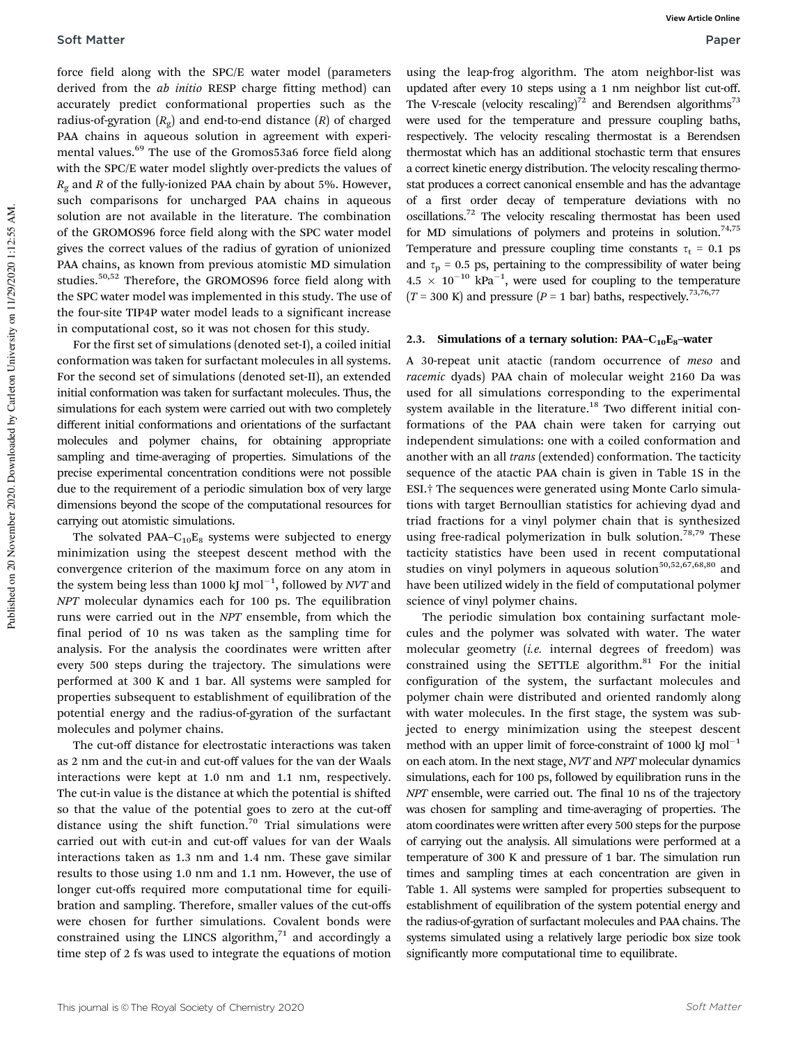force field along with the SPC/E water model (parameters derived from the ab initio RESP charge fitting method) can accurately predict conformational properties such as the radius-of-gyration  $(R_{\mathrm{g}})$  and end-to-end distance  $(R)$  of charged PAA chains in aqueous solution in agreement with experimental values.<sup>69</sup> The use of the Gromos53a6 force field along with the SPC/E water model slightly over-predicts the values of  $R_{\alpha}$  and R of the fully-ionized PAA chain by about 5%. However, such comparisons for uncharged PAA chains in aqueous solution are not available in the literature. The combination of the GROMOS96 force field along with the SPC water model gives the correct values of the radius of gyration of unionized PAA chains, as known from previous atomistic MD simulation studies.50,52 Therefore, the GROMOS96 force field along with the SPC water model was implemented in this study. The use of the four-site TIP4P water model leads to a significant increase in computational cost, so it was not chosen for this study.

For the first set of simulations (denoted set-I), a coiled initial conformation was taken for surfactant molecules in all systems. For the second set of simulations (denoted set-II), an extended initial conformation was taken for surfactant molecules. Thus, the simulations for each system were carried out with two completely different initial conformations and orientations of the surfactant molecules and polymer chains, for obtaining appropriate sampling and time-averaging of properties. Simulations of the precise experimental concentration conditions were not possible due to the requirement of a periodic simulation box of very large dimensions beyond the scope of the computational resources for carrying out atomistic simulations.

The solvated PAA- $C_{10}E_8$  systems were subjected to energy minimization using the steepest descent method with the convergence criterion of the maximum force on any atom in the system being less than 1000 kJ mol $^{-1}$ , followed by NVT and NPT molecular dynamics each for 100 ps. The equilibration runs were carried out in the NPT ensemble, from which the final period of 10 ns was taken as the sampling time for analysis. For the analysis the coordinates were written after every 500 steps during the trajectory. The simulations were performed at 300 K and 1 bar. All systems were sampled for properties subsequent to establishment of equilibration of the potential energy and the radius-of-gyration of the surfactant molecules and polymer chains.

The cut-off distance for electrostatic interactions was taken as 2 nm and the cut-in and cut-off values for the van der Waals interactions were kept at 1.0 nm and 1.1 nm, respectively. The cut-in value is the distance at which the potential is shifted so that the value of the potential goes to zero at the cut-off distance using the shift function.<sup>70</sup> Trial simulations were carried out with cut-in and cut-off values for van der Waals interactions taken as 1.3 nm and 1.4 nm. These gave similar results to those using 1.0 nm and 1.1 nm. However, the use of longer cut-offs required more computational time for equilibration and sampling. Therefore, smaller values of the cut-offs were chosen for further simulations. Covalent bonds were constrained using the LINCS algorithm, $71$  and accordingly a time step of 2 fs was used to integrate the equations of motion

using the leap-frog algorithm. The atom neighbor-list was updated after every 10 steps using a 1 nm neighbor list cut-off. The V-rescale (velocity rescaling)<sup>72</sup> and Berendsen algorithms<sup>73</sup> were used for the temperature and pressure coupling baths, respectively. The velocity rescaling thermostat is a Berendsen thermostat which has an additional stochastic term that ensures a correct kinetic energy distribution. The velocity rescaling thermostat produces a correct canonical ensemble and has the advantage of a first order decay of temperature deviations with no oscillations.<sup>72</sup> The velocity rescaling thermostat has been used for MD simulations of polymers and proteins in solution.<sup>74,75</sup> Temperature and pressure coupling time constants  $\tau_t = 0.1$  ps and  $\tau_p$  = 0.5 ps, pertaining to the compressibility of water being  $4.5 \times 10^{-10}$  kPa<sup>-1</sup>, were used for coupling to the temperature  $(T = 300 \text{ K})$  and pressure  $(P = 1 \text{ bar})$  baths, respectively.<sup>73,76,77</sup>

#### 2.3. Simulations of a ternary solution: PAA– $C_{10}E_8$ –water

A 30-repeat unit atactic (random occurrence of meso and racemic dyads) PAA chain of molecular weight 2160 Da was used for all simulations corresponding to the experimental system available in the literature. $18$  Two different initial conformations of the PAA chain were taken for carrying out independent simulations: one with a coiled conformation and another with an all trans (extended) conformation. The tacticity sequence of the atactic PAA chain is given in Table 1S in the ESI.† The sequences were generated using Monte Carlo simulations with target Bernoullian statistics for achieving dyad and triad fractions for a vinyl polymer chain that is synthesized using free-radical polymerization in bulk solution.<sup>78,79</sup> These tacticity statistics have been used in recent computational studies on vinyl polymers in aqueous solution<sup>50,52,67,68,80</sup> and have been utilized widely in the field of computational polymer science of vinyl polymer chains.

The periodic simulation box containing surfactant molecules and the polymer was solvated with water. The water molecular geometry (i.e. internal degrees of freedom) was constrained using the SETTLE algorithm. $81$  For the initial configuration of the system, the surfactant molecules and polymer chain were distributed and oriented randomly along with water molecules. In the first stage, the system was subjected to energy minimization using the steepest descent method with an upper limit of force-constraint of 1000 kJ mol<sup> $-1$ </sup> on each atom. In the next stage, NVT and NPT molecular dynamics simulations, each for 100 ps, followed by equilibration runs in the NPT ensemble, were carried out. The final 10 ns of the trajectory was chosen for sampling and time-averaging of properties. The atom coordinates were written after every 500 steps for the purpose of carrying out the analysis. All simulations were performed at a temperature of 300 K and pressure of 1 bar. The simulation run times and sampling times at each concentration are given in Table 1. All systems were sampled for properties subsequent to establishment of equilibration of the system potential energy and the radius-of-gyration of surfactant molecules and PAA chains. The systems simulated using a relatively large periodic box size took significantly more computational time to equilibrate.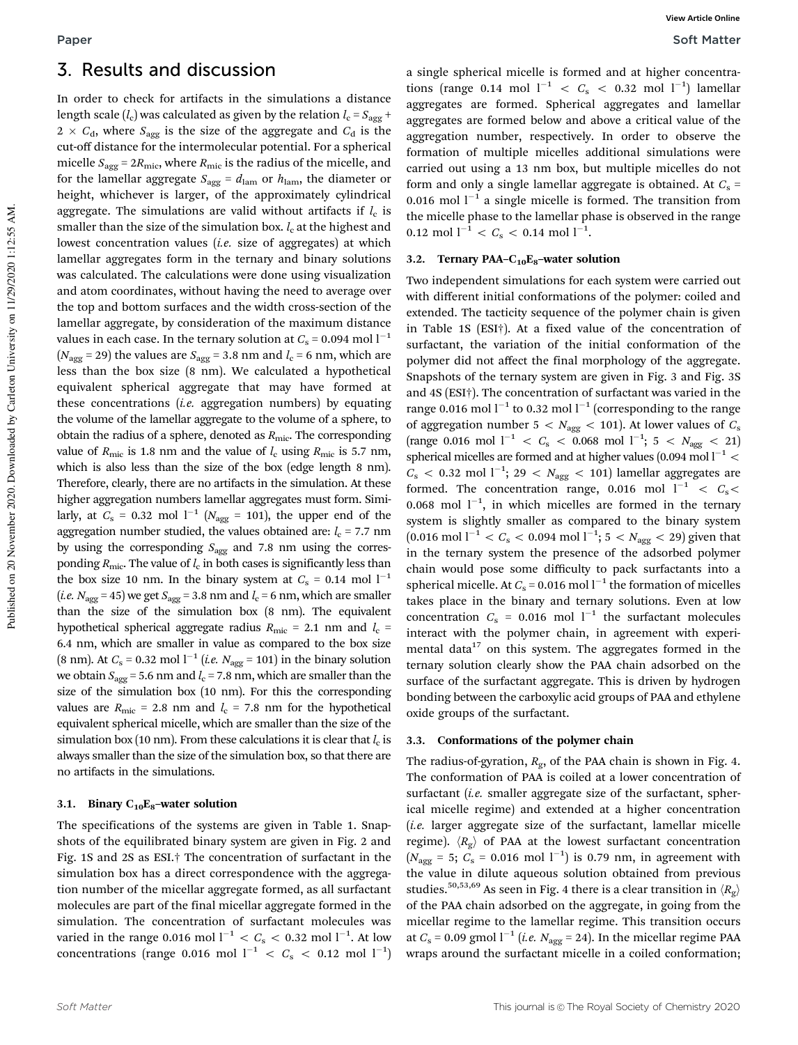## 3. Results and discussion

In order to check for artifacts in the simulations a distance length scale ( $l_{\rm c}$ ) was calculated as given by the relation  $l_{\rm c}$  =  $S_{\rm agg}$  +  $2 \times C_{\rm d}$ , where  $S_{\rm agg}$  is the size of the aggregate and  $C_{\rm d}$  is the cut-off distance for the intermolecular potential. For a spherical micelle  $S_{\text{agg}} = 2R_{\text{mic}}$ , where  $R_{\text{mic}}$  is the radius of the micelle, and for the lamellar aggregate  $S_{\text{agg}} = d_{\text{lam}}$  or  $h_{\text{lam}}$ , the diameter or height, whichever is larger, of the approximately cylindrical aggregate. The simulations are valid without artifacts if  $l_{\rm c}$  is smaller than the size of the simulation box.  $l_c$  at the highest and lowest concentration values *(i.e.* size of aggregates) at which lamellar aggregates form in the ternary and binary solutions was calculated. The calculations were done using visualization and atom coordinates, without having the need to average over the top and bottom surfaces and the width cross-section of the lamellar aggregate, by consideration of the maximum distance values in each case. In the ternary solution at  $C_s = 0.094$  mol  $l^{-1}$ ( $N_{\text{agg}}$  = 29) the values are  $S_{\text{agg}}$  = 3.8 nm and  $l_c$  = 6 nm, which are less than the box size (8 nm). We calculated a hypothetical equivalent spherical aggregate that may have formed at these concentrations  $(i.e.$  aggregation numbers) by equating the volume of the lamellar aggregate to the volume of a sphere, to obtain the radius of a sphere, denoted as  $R_{\text{mic}}$ . The corresponding value of  $R_{\text{mic}}$  is 1.8 nm and the value of  $l_c$  using  $R_{\text{mic}}$  is 5.7 nm, which is also less than the size of the box (edge length 8 nm). Therefore, clearly, there are no artifacts in the simulation. At these higher aggregation numbers lamellar aggregates must form. Similarly, at  $C_s$  = 0.32 mol  $1^{-1}$  ( $N_{\text{agg}}$  = 101), the upper end of the aggregation number studied, the values obtained are:  $l_c$  = 7.7 nm by using the corresponding  $S_{\text{agg}}$  and 7.8 nm using the corresponding  $R_{\text{mic}}$ . The value of  $l_{\text{c}}$  in both cases is significantly less than the box size 10 nm. In the binary system at  $C_s = 0.14$  mol  $1^{-1}$ (*i.e.*  $N_{\text{agg}} = 45$ ) we get  $S_{\text{agg}} = 3.8$  nm and  $l_c = 6$  nm, which are smaller than the size of the simulation box (8 nm). The equivalent hypothetical spherical aggregate radius  $R_{\text{mic}} = 2.1$  nm and  $l_c$  = 6.4 nm, which are smaller in value as compared to the box size (8 nm). At  $C_s = 0.32$  mol  $l^{-1}$  (*i.e.*  $N_{\text{agg}} = 101$ ) in the binary solution we obtain  $S_{\text{agg}}$  = 5.6 nm and  $l_c$  = 7.8 nm, which are smaller than the size of the simulation box (10 nm). For this the corresponding values are  $R_{\text{mic}} = 2.8$  nm and  $l_c = 7.8$  nm for the hypothetical equivalent spherical micelle, which are smaller than the size of the simulation box (10 nm). From these calculations it is clear that  $l_{\rm c}$  is always smaller than the size of the simulation box, so that there are no artifacts in the simulations.

#### 3.1. Binary  $C_{10}E_8$ -water solution

The specifications of the systems are given in Table 1. Snapshots of the equilibrated binary system are given in Fig. 2 and Fig. 1S and 2S as ESI.† The concentration of surfactant in the simulation box has a direct correspondence with the aggregation number of the micellar aggregate formed, as all surfactant molecules are part of the final micellar aggregate formed in the simulation. The concentration of surfactant molecules was varied in the range 0.016 mol  $l^{-1} < C_{\rm s} <$  0.32 mol  $l^{-1}$ . At low concentrations (range 0.016 mol  $l^{-1}$  <  $C_{\rm s}$  < 0.12 mol  $l^{-1}$ )

a single spherical micelle is formed and at higher concentrations (range 0.14 mol  $l^{-1}$  <  $C_s$  < 0.32 mol  $l^{-1}$ ) lamellar aggregates are formed. Spherical aggregates and lamellar aggregates are formed below and above a critical value of the aggregation number, respectively. In order to observe the formation of multiple micelles additional simulations were carried out using a 13 nm box, but multiple micelles do not form and only a single lamellar aggregate is obtained. At  $C_s$  = 0.016 mol  $l^{-1}$  a single micelle is formed. The transition from the micelle phase to the lamellar phase is observed in the range  $0.12 \text{ mol } l^{-1} < C_{\text{s}} < 0.14 \text{ mol } l^{-1}.$ 

#### 3.2. Ternary PAA– $C_{10}E_8$ –water solution

Two independent simulations for each system were carried out with different initial conformations of the polymer: coiled and extended. The tacticity sequence of the polymer chain is given in Table 1S (ESI†). At a fixed value of the concentration of surfactant, the variation of the initial conformation of the polymer did not affect the final morphology of the aggregate. Snapshots of the ternary system are given in Fig. 3 and Fig. 3S and 4S (ESI†). The concentration of surfactant was varied in the range 0.016 mol  $l^{-1}$  to 0.32 mol  $l^{-1}$  (corresponding to the range of aggregation number 5 <  $N_{\text{agg}}$  < 101). At lower values of  $C_{\text{s}}$ (range 0.016 mol  $l^{-1}$  <  $C_{\rm s}$  < 0.068 mol  $l^{-1}$ ; 5 <  $N_{\rm agg}$  < 21) spherical micelles are formed and at higher values (0.094 mol  $l^{-1}$  <  $C_{\rm s}$  < 0.32 mol l<sup>-1</sup>; 29 <  $N_{\rm agg}$  < 101) lamellar aggregates are formed. The concentration range, 0.016 mol  $l^{-1} < C_s$ 0.068 mol  $1^{-1}$ , in which micelles are formed in the ternary system is slightly smaller as compared to the binary system  $(0.016 \text{ mol } l^{-1} < C_{\text{s}} < 0.094 \text{ mol } l^{-1}$ ; 5 <  $N_{\text{agg}} < 29)$  given that in the ternary system the presence of the adsorbed polymer chain would pose some difficulty to pack surfactants into a spherical micelle. At  $C_s$  = 0.016 mol  $l^{-1}$  the formation of micelles takes place in the binary and ternary solutions. Even at low concentration  $C_s = 0.016$  mol  $l^{-1}$  the surfactant molecules interact with the polymer chain, in agreement with experimental data $17$  on this system. The aggregates formed in the ternary solution clearly show the PAA chain adsorbed on the surface of the surfactant aggregate. This is driven by hydrogen bonding between the carboxylic acid groups of PAA and ethylene oxide groups of the surfactant.

#### 3.3. Conformations of the polymer chain

The radius-of-gyration,  $R_{\text{g}}$ , of the PAA chain is shown in Fig. 4. The conformation of PAA is coiled at a lower concentration of surfactant (*i.e.* smaller aggregate size of the surfactant, spherical micelle regime) and extended at a higher concentration  $(i.e.$  larger aggregate size of the surfactant, lamellar micelle regime).  $\langle R_{g} \rangle$  of PAA at the lowest surfactant concentration  $(N_{\text{agg}} = 5; C_{\text{s}} = 0.016 \text{ mol l}^{-1})$  is 0.79 nm, in agreement with the value in dilute aqueous solution obtained from previous studies.<sup>50,53,69</sup> As seen in Fig. 4 there is a clear transition in  $\langle R_{\rm g} \rangle$ of the PAA chain adsorbed on the aggregate, in going from the micellar regime to the lamellar regime. This transition occurs at  $C_s$  = 0.09 gmol  $l^{-1}$  (*i.e.*  $N_{\text{agg}}$  = 24). In the micellar regime PAA wraps around the surfactant micelle in a coiled conformation;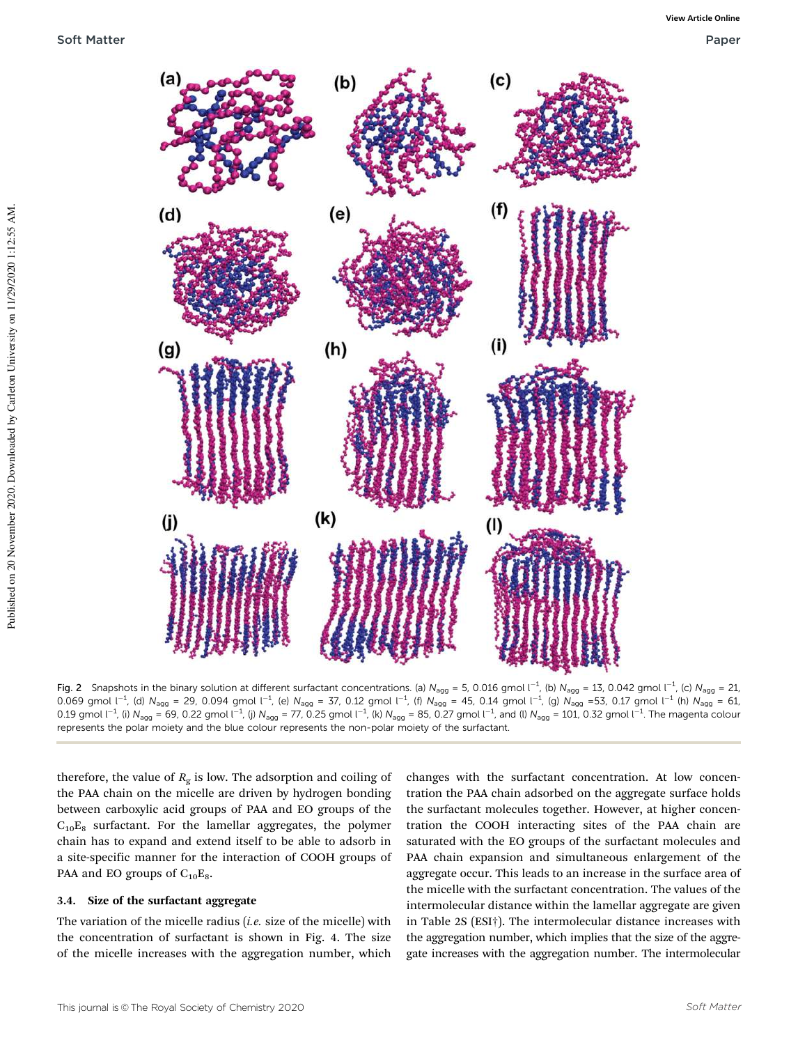

**Fig. 2** Snapshots in the binary solution at different surfactant concentrations. (a)  $N_{\text{agg}} = 5$ , 0.016 gmol  $l^{-1}$ , (b)  $N_{\text{agg}} = 13$ , 0.042 gmol  $l^{-1}$ , (c)  $N_{\text{agg}} = 21$ , 0.069 gmol l<sup>-1</sup>, (d) N<sub>agg</sub> = 29, 0.094 gmol l<sup>-1</sup>, (e) N<sub>agg</sub> = 37, 0.12 gmol l<sup>-1</sup>, (f) N<sub>agg</sub> = 45, 0.14 gmol l<sup>-1</sup>, (g) N<sub>agg</sub> = 53, 0.17 gmol l<sup>-1</sup> (h) N<sub>agg</sub> = 61, 0.19 gmol l<sup>-1</sup>, (i) N<sub>agg</sub> = 69, 0.22 gmol l<sup>-1</sup>, (j) N<sub>agg</sub> = 77, 0.25 gmol l<sup>-1</sup>, (k) N<sub>agg</sub> = 85, 0.27 gmol l<sup>-1</sup>, and (l) N<sub>agg</sub> = 101, 0.32 gmol l<sup>-1</sup>. The magenta colour represents the polar moiety and the blue colour represents the non-polar moiety of the surfactant.

therefore, the value of  $R<sub>g</sub>$  is low. The adsorption and coiling of the PAA chain on the micelle are driven by hydrogen bonding between carboxylic acid groups of PAA and EO groups of the  $C_{10}E_8$  surfactant. For the lamellar aggregates, the polymer chain has to expand and extend itself to be able to adsorb in a site-specific manner for the interaction of COOH groups of PAA and EO groups of  $C_{10}E_8$ .

#### 3.4. Size of the surfactant aggregate

The variation of the micelle radius (*i.e.* size of the micelle) with the concentration of surfactant is shown in Fig. 4. The size of the micelle increases with the aggregation number, which

changes with the surfactant concentration. At low concentration the PAA chain adsorbed on the aggregate surface holds the surfactant molecules together. However, at higher concentration the COOH interacting sites of the PAA chain are saturated with the EO groups of the surfactant molecules and PAA chain expansion and simultaneous enlargement of the aggregate occur. This leads to an increase in the surface area of the micelle with the surfactant concentration. The values of the intermolecular distance within the lamellar aggregate are given in Table 2S (ESI†). The intermolecular distance increases with the aggregation number, which implies that the size of the aggregate increases with the aggregation number. The intermolecular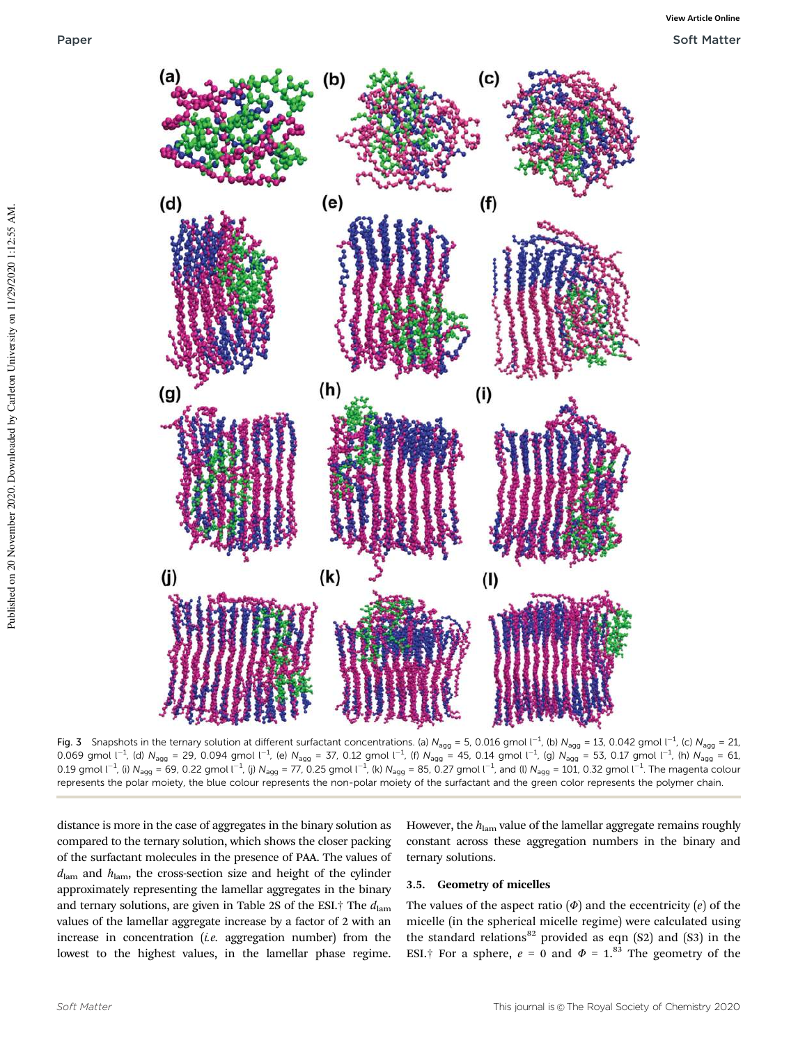

**Fig. 3** Snapshots in the ternary solution at different surfactant concentrations. (a)  $N_{\text{agg}} = 5$ , 0.016 gmol  $\text{I}^{-1}$ , (b)  $N_{\text{agg}} = 13$ , 0.042 gmol  $\text{I}^{-1}$ , (c)  $N_{\text{agg}} = 21$ , 0.069 gmol l<sup>-1</sup>, (d) N<sub>agg</sub> = 29, 0.094 gmol l<sup>-1</sup>, (e) N<sub>agg</sub> = 37, 0.12 gmol l<sup>-1</sup>, (f) N<sub>agg</sub> = 45, 0.14 gmol l<sup>-1</sup>, (g) N<sub>agg</sub> = 53, 0.17 gmol l<sup>-1</sup>, (h) N<sub>agg</sub> = 61, 0.19 gmol l<sup>-1</sup>, (i) N<sub>agg</sub> = 69, 0.22 gmol l<sup>-1</sup>, (j) N<sub>agg</sub> = 77, 0.25 gmol l<sup>-1</sup>, (k) N<sub>agg</sub> = 85, 0.27 gmol l<sup>-1</sup>, and (l) N<sub>agg</sub> = 101, 0.32 gmol l<sup>-1</sup>. The magenta colour represents the polar moiety, the blue colour represents the non-polar moiety of the surfactant and the green color represents the polymer chain.

distance is more in the case of aggregates in the binary solution as compared to the ternary solution, which shows the closer packing of the surfactant molecules in the presence of PAA. The values of  $d_{\text{lam}}$  and  $h_{\text{lam}}$ , the cross-section size and height of the cylinder approximately representing the lamellar aggregates in the binary and ternary solutions, are given in Table 2S of the ESI.<sup>†</sup> The  $d_{\text{lam}}$ values of the lamellar aggregate increase by a factor of 2 with an increase in concentration (i.e. aggregation number) from the lowest to the highest values, in the lamellar phase regime.

However, the  $h_{\text{lam}}$  value of the lamellar aggregate remains roughly constant across these aggregation numbers in the binary and ternary solutions.

#### 3.5. Geometry of micelles

The values of the aspect ratio  $(\Phi)$  and the eccentricity  $(e)$  of the micelle (in the spherical micelle regime) were calculated using the standard relations<sup>82</sup> provided as eqn  $(S2)$  and  $(S3)$  in the ESI.<sup>†</sup> For a sphere,  $e = 0$  and  $\Phi = 1^{83}$ . The geometry of the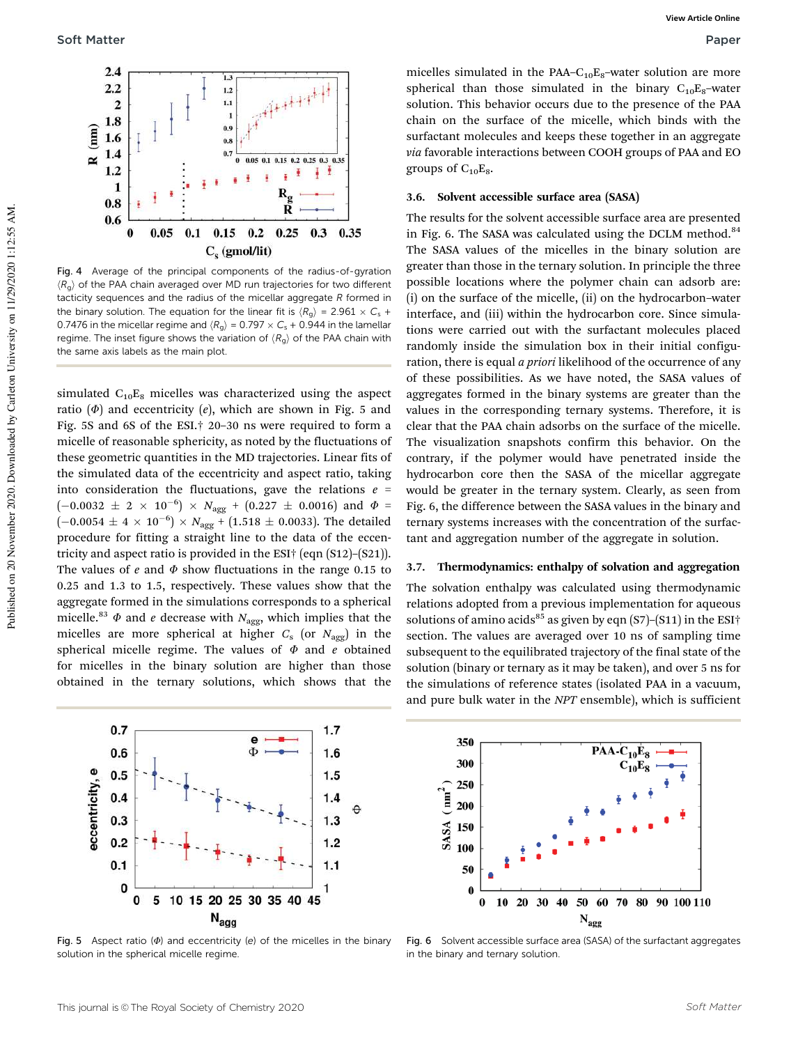

Fig. 4 Average of the principal components of the radius-of-gyration  $\langle R_{\alpha} \rangle$  of the PAA chain averaged over MD run trajectories for two different tacticity sequences and the radius of the micellar aggregate  $R$  formed in the binary solution. The equation for the linear fit is  $\langle R_g \rangle = 2.961 \times C_s +$ 0.7476 in the micellar regime and  $\langle R_{g} \rangle = 0.797 \times C_{\rm s} + 0.944$  in the lamellar regime. The inset figure shows the variation of  $\langle R_{\alpha} \rangle$  of the PAA chain with the same axis labels as the main plot.

simulated  $C_{10}E_8$  micelles was characterized using the aspect ratio  $(\Phi)$  and eccentricity  $(e)$ , which are shown in Fig. 5 and Fig. 5S and 6S of the ESI.† 20–30 ns were required to form a micelle of reasonable sphericity, as noted by the fluctuations of these geometric quantities in the MD trajectories. Linear fits of the simulated data of the eccentricity and aspect ratio, taking into consideration the fluctuations, gave the relations  $e =$  $(-0.0032~\pm~2~\times~10^{-6})~\times~N_{\text{agg}}~+~(0.227~\pm~0.0016)$  and  $\varPhi$  =  $(-0.0054 \pm 4 \times 10^{-6}) \times N_{\text{agg}} + (1.518 \pm 0.0033)$ . The detailed procedure for fitting a straight line to the data of the eccentricity and aspect ratio is provided in the ESI† (eqn (S12)–(S21)). The values of e and  $\Phi$  show fluctuations in the range 0.15 to 0.25 and 1.3 to 1.5, respectively. These values show that the aggregate formed in the simulations corresponds to a spherical micelle.<sup>83</sup>  $\Phi$  and *e* decrease with N<sub>agg</sub>, which implies that the micelles are more spherical at higher  $C_{\mathrm{s}}$  (or  $N_{\mathrm{agg}}$ ) in the spherical micelle regime. The values of  $\Phi$  and e obtained for micelles in the binary solution are higher than those obtained in the ternary solutions, which shows that the



Fig. 5 Aspect ratio  $(\Phi)$  and eccentricity (e) of the micelles in the binary solution in the spherical micelle regime.

micelles simulated in the PAA– $C_{10}E_8$ –water solution are more spherical than those simulated in the binary  $C_{10}E_8$ -water solution. This behavior occurs due to the presence of the PAA chain on the surface of the micelle, which binds with the surfactant molecules and keeps these together in an aggregate via favorable interactions between COOH groups of PAA and EO groups of  $C_{10}E_8$ .

#### 3.6. Solvent accessible surface area (SASA)

The results for the solvent accessible surface area are presented in Fig. 6. The SASA was calculated using the DCLM method.<sup>84</sup> The SASA values of the micelles in the binary solution are greater than those in the ternary solution. In principle the three possible locations where the polymer chain can adsorb are: (i) on the surface of the micelle, (ii) on the hydrocarbon–water interface, and (iii) within the hydrocarbon core. Since simulations were carried out with the surfactant molecules placed randomly inside the simulation box in their initial configuration, there is equal *a priori* likelihood of the occurrence of any of these possibilities. As we have noted, the SASA values of aggregates formed in the binary systems are greater than the values in the corresponding ternary systems. Therefore, it is clear that the PAA chain adsorbs on the surface of the micelle. The visualization snapshots confirm this behavior. On the contrary, if the polymer would have penetrated inside the hydrocarbon core then the SASA of the micellar aggregate would be greater in the ternary system. Clearly, as seen from Fig. 6, the difference between the SASA values in the binary and ternary systems increases with the concentration of the surfactant and aggregation number of the aggregate in solution.

#### 3.7. Thermodynamics: enthalpy of solvation and aggregation

The solvation enthalpy was calculated using thermodynamic relations adopted from a previous implementation for aqueous solutions of amino acids<sup>85</sup> as given by eqn (S7)–(S11) in the ESI<sup>+</sup> section. The values are averaged over 10 ns of sampling time subsequent to the equilibrated trajectory of the final state of the solution (binary or ternary as it may be taken), and over 5 ns for the simulations of reference states (isolated PAA in a vacuum, and pure bulk water in the NPT ensemble), which is sufficient



Fig. 6 Solvent accessible surface area (SASA) of the surfactant aggregates in the binary and ternary solution.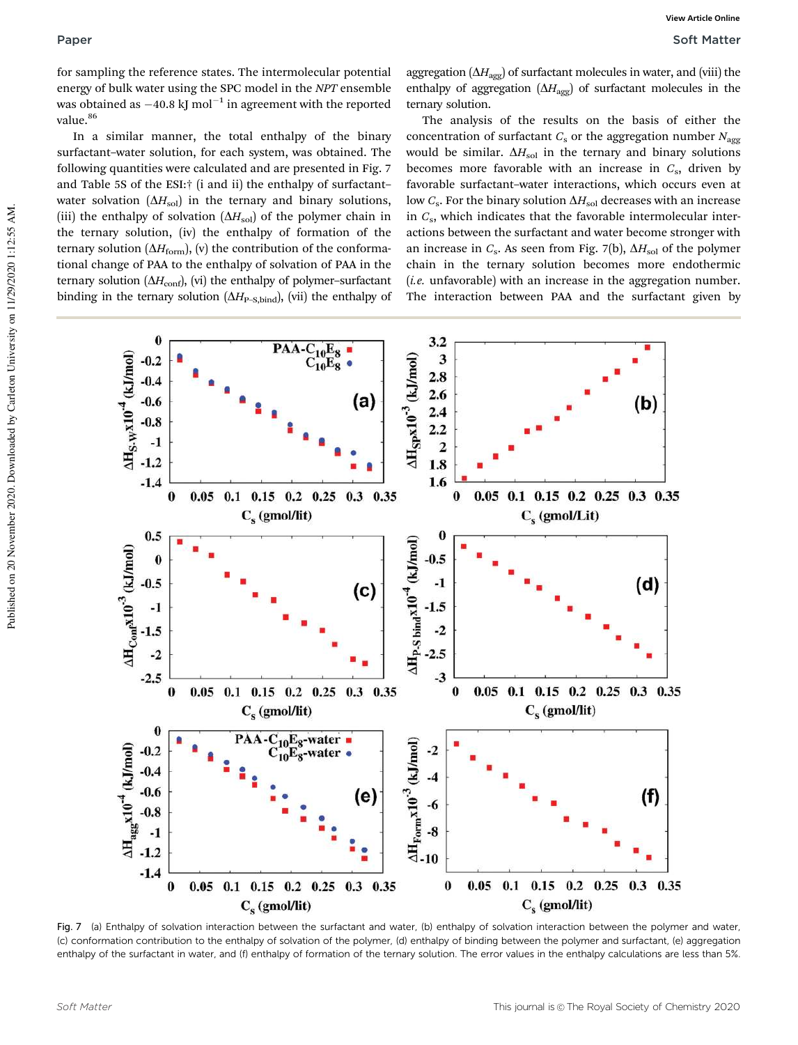for sampling the reference states. The intermolecular potential energy of bulk water using the SPC model in the NPT ensemble was obtained as  $-40.8$  kJ mol $^{-1}$  in agreement with the reported value.<sup>86</sup>

In a similar manner, the total enthalpy of the binary surfactant–water solution, for each system, was obtained. The following quantities were calculated and are presented in Fig. 7 and Table 5S of the ESI:† (i and ii) the enthalpy of surfactant– water solvation  $(\Delta H_{sol})$  in the ternary and binary solutions, (iii) the enthalpy of solvation  $(\Delta H_{sol})$  of the polymer chain in the ternary solution, (iv) the enthalpy of formation of the ternary solution  $(\Delta H_{\text{form}})$ , (v) the contribution of the conformational change of PAA to the enthalpy of solvation of PAA in the ternary solution ( $\Delta H_{\text{conf}}$ ), (vi) the enthalpy of polymer-surfactant binding in the ternary solution  $(\Delta H_{\text{P-S,bind}})$ , (vii) the enthalpy of

aggregation ( $\Delta H_{\text{agg}}$ ) of surfactant molecules in water, and (viii) the enthalpy of aggregation  $(\Delta H_{\text{agg}})$  of surfactant molecules in the ternary solution.

The analysis of the results on the basis of either the concentration of surfactant  $C_s$  or the aggregation number  $N_{\text{agg}}$ would be similar.  $\Delta H_{\rm sol}$  in the ternary and binary solutions becomes more favorable with an increase in  $C_s$ , driven by favorable surfactant–water interactions, which occurs even at low  $C_{\rm s}$ . For the binary solution  $\Delta H_{\rm sol}$  decreases with an increase in  $C_{\rm s}$ , which indicates that the favorable intermolecular interactions between the surfactant and water become stronger with an increase in  $C_s$ . As seen from Fig. 7(b),  $\Delta H_{sol}$  of the polymer chain in the ternary solution becomes more endothermic  $(i.e.$  unfavorable) with an increase in the aggregation number. The interaction between PAA and the surfactant given by



Fig. 7 (a) Enthalpy of solvation interaction between the surfactant and water, (b) enthalpy of solvation interaction between the polymer and water, (c) conformation contribution to the enthalpy of solvation of the polymer, (d) enthalpy of binding between the polymer and surfactant, (e) aggregation enthalpy of the surfactant in water, and (f) enthalpy of formation of the ternary solution. The error values in the enthalpy calculations are less than 5%.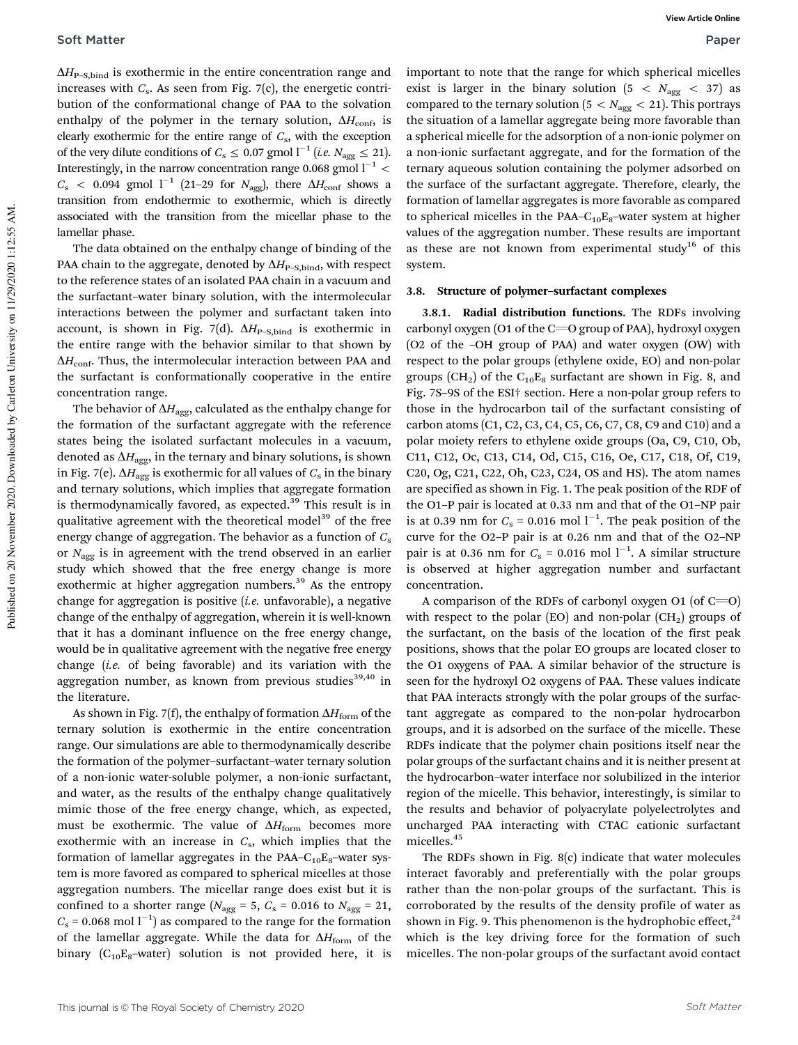$\Delta H_{\text{P-S,bind}}$  is exothermic in the entire concentration range and increases with  $C_{\rm s}$ . As seen from Fig. 7(c), the energetic contribution of the conformational change of PAA to the solvation enthalpy of the polymer in the ternary solution,  $\Delta H_{\text{conf}}$ , is clearly exothermic for the entire range of  $C_{\rm s}$ , with the exception of the very dilute conditions of  $C_{\rm s} \leq 0.07$  gmol  $l^{-1}$  (*i.e.*  $N_{\rm agg} \leq 21$ ). Interestingly, in the narrow concentration range 0.068 gmol  $l^{-1}$  <  $C_{\rm s}$  < 0.094 gmol  ${\rm l}^{-1}$  (21–29 for  $N_{\rm agg}$ ), there  $\Delta H_{\rm conf}$  shows a transition from endothermic to exothermic, which is directly associated with the transition from the micellar phase to the lamellar phase.

The data obtained on the enthalpy change of binding of the PAA chain to the aggregate, denoted by  $\Delta H_{\text{P-S,bind}}$ , with respect to the reference states of an isolated PAA chain in a vacuum and the surfactant–water binary solution, with the intermolecular interactions between the polymer and surfactant taken into account, is shown in Fig. 7(d).  $\Delta H_{\text{P-S,bind}}$  is exothermic in the entire range with the behavior similar to that shown by  $\Delta H_{\text{conf}}$ . Thus, the intermolecular interaction between PAA and the surfactant is conformationally cooperative in the entire concentration range.

The behavior of  $\Delta H_{\text{agg}}$ , calculated as the enthalpy change for the formation of the surfactant aggregate with the reference states being the isolated surfactant molecules in a vacuum, denoted as  $\Delta H_{\text{age}}$ , in the ternary and binary solutions, is shown in Fig. 7(e).  $\Delta H_{\mathrm{agg}}$  is exothermic for all values of  $C_{\mathrm{s}}$  in the binary and ternary solutions, which implies that aggregate formation is thermodynamically favored, as expected.<sup>39</sup> This result is in qualitative agreement with the theoretical model<sup>39</sup> of the free energy change of aggregation. The behavior as a function of  $C_s$ or  $N_{\text{agg}}$  is in agreement with the trend observed in an earlier study which showed that the free energy change is more exothermic at higher aggregation numbers.<sup>39</sup> As the entropy change for aggregation is positive  $(i.e.$  unfavorable), a negative change of the enthalpy of aggregation, wherein it is well-known that it has a dominant influence on the free energy change, would be in qualitative agreement with the negative free energy change (i.e. of being favorable) and its variation with the aggregation number, as known from previous studies<sup>39,40</sup> in the literature.

As shown in Fig. 7(f), the enthalpy of formation  $\Delta H_{\text{form}}$  of the ternary solution is exothermic in the entire concentration range. Our simulations are able to thermodynamically describe the formation of the polymer–surfactant–water ternary solution of a non-ionic water-soluble polymer, a non-ionic surfactant, and water, as the results of the enthalpy change qualitatively mimic those of the free energy change, which, as expected, must be exothermic. The value of  $\Delta H_{\text{form}}$  becomes more exothermic with an increase in  $C_{\rm s}$ , which implies that the formation of lamellar aggregates in the PAA– $C_{10}E_8$ –water system is more favored as compared to spherical micelles at those aggregation numbers. The micellar range does exist but it is confined to a shorter range ( $N_{\text{agg}} = 5$ ,  $C_s = 0.016$  to  $N_{\text{agg}} = 21$ ,  $C_s$  = 0.068 mol  $l^{-1}$ ) as compared to the range for the formation of the lamellar aggregate. While the data for  $\Delta H_{\text{form}}$  of the binary  $(C_{10}E_8$ -water) solution is not provided here, it is

important to note that the range for which spherical micelles exist is larger in the binary solution  $(5 < N_{\text{agg}} < 37)$  as compared to the ternary solution ( $5 < N_{\text{agg}} < 21$ ). This portrays the situation of a lamellar aggregate being more favorable than a spherical micelle for the adsorption of a non-ionic polymer on a non-ionic surfactant aggregate, and for the formation of the ternary aqueous solution containing the polymer adsorbed on the surface of the surfactant aggregate. Therefore, clearly, the formation of lamellar aggregates is more favorable as compared to spherical micelles in the PAA– $C_{10}E_8$ –water system at higher values of the aggregation number. These results are important as these are not known from experimental study<sup>16</sup> of this system.

#### 3.8. Structure of polymer–surfactant complexes

3.8.1. Radial distribution functions. The RDFs involving carbonyl oxygen (O1 of the  $C=O$  group of PAA), hydroxyl oxygen (O2 of the –OH group of PAA) and water oxygen (OW) with respect to the polar groups (ethylene oxide, EO) and non-polar groups (CH<sub>2</sub>) of the C<sub>10</sub>E<sub>8</sub> surfactant are shown in Fig. 8, and Fig. 7S–9S of the ESI† section. Here a non-polar group refers to those in the hydrocarbon tail of the surfactant consisting of carbon atoms (C1, C2, C3, C4, C5, C6, C7, C8, C9 and C10) and a polar moiety refers to ethylene oxide groups (Oa, C9, C10, Ob, C11, C12, Oc, C13, C14, Od, C15, C16, Oe, C17, C18, Of, C19, C20, Og, C21, C22, Oh, C23, C24, OS and HS). The atom names are specified as shown in Fig. 1. The peak position of the RDF of the O1–P pair is located at 0.33 nm and that of the O1–NP pair is at 0.39 nm for  $C_s = 0.016$  mol  $l^{-1}$ . The peak position of the curve for the O2–P pair is at 0.26 nm and that of the O2–NP pair is at 0.36 nm for  $C_s = 0.016$  mol  $l^{-1}$ . A similar structure is observed at higher aggregation number and surfactant concentration.

A comparison of the RDFs of carbonyl oxygen O1 (of  $C=O$ ) with respect to the polar (EO) and non-polar ( $CH<sub>2</sub>$ ) groups of the surfactant, on the basis of the location of the first peak positions, shows that the polar EO groups are located closer to the O1 oxygens of PAA. A similar behavior of the structure is seen for the hydroxyl O2 oxygens of PAA. These values indicate that PAA interacts strongly with the polar groups of the surfactant aggregate as compared to the non-polar hydrocarbon groups, and it is adsorbed on the surface of the micelle. These RDFs indicate that the polymer chain positions itself near the polar groups of the surfactant chains and it is neither present at the hydrocarbon–water interface nor solubilized in the interior region of the micelle. This behavior, interestingly, is similar to the results and behavior of polyacrylate polyelectrolytes and uncharged PAA interacting with CTAC cationic surfactant micelles.<sup>45</sup>

The RDFs shown in Fig. 8(c) indicate that water molecules interact favorably and preferentially with the polar groups rather than the non-polar groups of the surfactant. This is corroborated by the results of the density profile of water as shown in Fig. 9. This phenomenon is the hydrophobic effect, $24$ which is the key driving force for the formation of such micelles. The non-polar groups of the surfactant avoid contact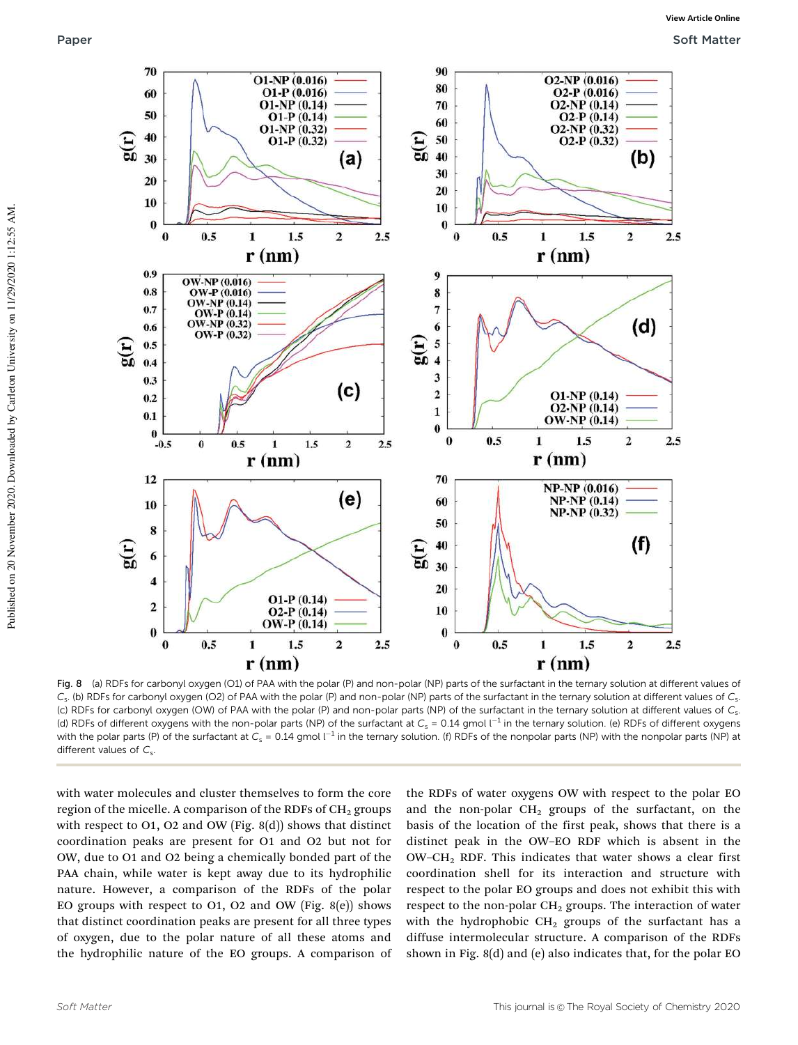

Fig. 8 (a) RDFs for carbonyl oxygen (O1) of PAA with the polar (P) and non-polar (NP) parts of the surfactant in the ternary solution at different values of  $C_{s}$ . (b) RDFs for carbonyl oxygen (O2) of PAA with the polar (P) and non-polar (NP) parts of the surfactant in the ternary solution at different values of  $C_{s}$ (c) RDFs for carbonyl oxygen (OW) of PAA with the polar (P) and non-polar parts (NP) of the surfactant in the ternary solution at different values of  $C_s$ (d) RDFs of different oxygens with the non-polar parts (NP) of the surfactant at  $C_{\rm s}$  = 0.14 gmol l<sup>-1</sup> in the ternary solution. (e) RDFs of different oxygens with the polar parts (P) of the surfactant at  $C_{\rm s}$  = 0.14 gmol l<sup>-1</sup> in the ternary solution. (f) RDFs of the nonpolar parts (NP) with the nonpolar parts (NP) at different values of  $C_s$ .

with water molecules and cluster themselves to form the core region of the micelle. A comparison of the RDFs of CH<sub>2</sub> groups with respect to O1, O2 and OW (Fig. 8(d)) shows that distinct coordination peaks are present for O1 and O2 but not for OW, due to O1 and O2 being a chemically bonded part of the PAA chain, while water is kept away due to its hydrophilic nature. However, a comparison of the RDFs of the polar EO groups with respect to O1, O2 and OW (Fig.  $8(e)$ ) shows that distinct coordination peaks are present for all three types of oxygen, due to the polar nature of all these atoms and the hydrophilic nature of the EO groups. A comparison of the RDFs of water oxygens OW with respect to the polar EO and the non-polar  $CH<sub>2</sub>$  groups of the surfactant, on the basis of the location of the first peak, shows that there is a distinct peak in the OW–EO RDF which is absent in the OW–CH<sup>2</sup> RDF. This indicates that water shows a clear first coordination shell for its interaction and structure with respect to the polar EO groups and does not exhibit this with respect to the non-polar  $CH<sub>2</sub>$  groups. The interaction of water with the hydrophobic  $CH<sub>2</sub>$  groups of the surfactant has a diffuse intermolecular structure. A comparison of the RDFs shown in Fig. 8(d) and (e) also indicates that, for the polar EO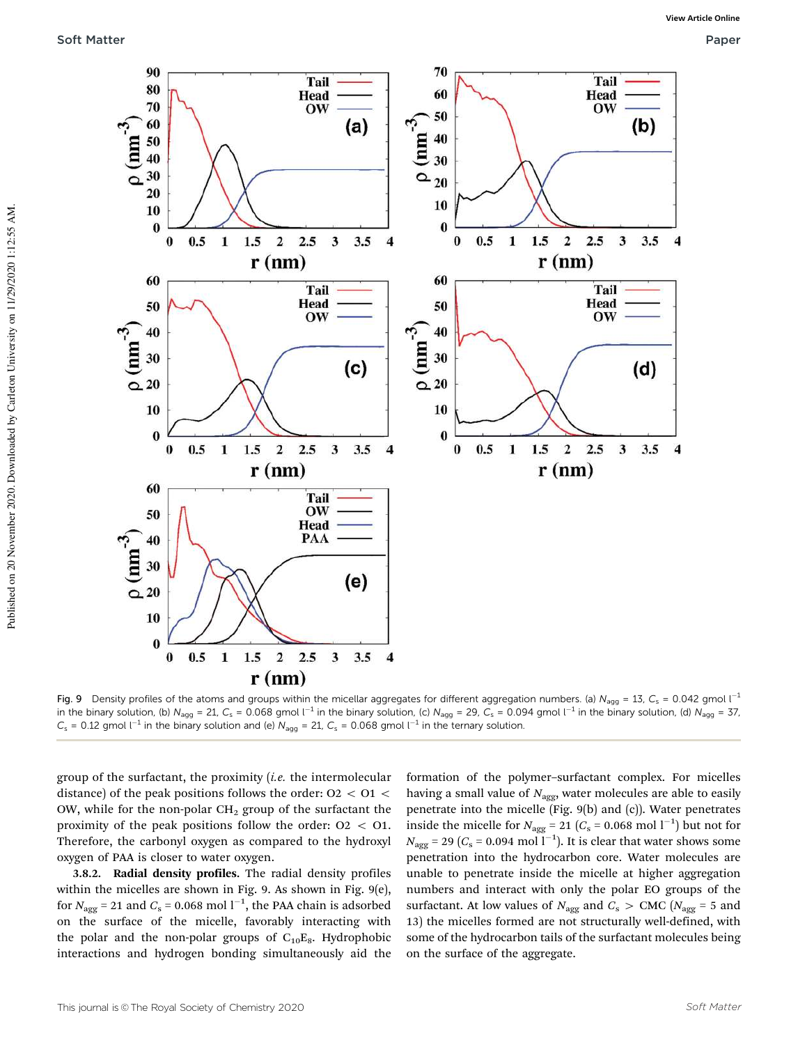

Fig. 9 Density profiles of the atoms and groups within the micellar aggregates for different aggregation numbers. (a)  $N_{\text{a}qq} = 13$ ,  $C_s = 0.042$  gmol l<sup>-1</sup> in the binary solution, (b)  $N_{\text{agg}} = 21$ ,  $C_{\text{s}} = 0.068$  gmol  $l^{-1}$  in the binary solution, (c)  $N_{\text{agg}} = 29$ ,  $C_{\text{s}} = 0.094$  gmol  $l^{-1}$  in the binary solution, (d)  $N_{\text{agg}} = 37$ ,  $C_s$  = 0.12 gmol l<sup>-1</sup> in the binary solution and (e)  $N_{\text{agg}}$  = 21,  $C_s$  = 0.068 gmol l<sup>-1</sup> in the ternary solution.

group of the surfactant, the proximity  $(i.e.$  the intermolecular distance) of the peak positions follows the order:  $02 < 01 <$ OW, while for the non-polar  $CH<sub>2</sub>$  group of the surfactant the proximity of the peak positions follow the order:  $Q_2 < Q_1$ . Therefore, the carbonyl oxygen as compared to the hydroxyl oxygen of PAA is closer to water oxygen.

3.8.2. Radial density profiles. The radial density profiles within the micelles are shown in Fig. 9. As shown in Fig. 9(e), for  $N_{\text{agg}} = 21$  and  $C_{\text{s}} = 0.068$  mol  $l^{-1}$ , the PAA chain is adsorbed on the surface of the micelle, favorably interacting with the polar and the non-polar groups of  $C_{10}E_8$ . Hydrophobic interactions and hydrogen bonding simultaneously aid the formation of the polymer–surfactant complex. For micelles having a small value of  $N_{\text{agg}}$ , water molecules are able to easily penetrate into the micelle (Fig. 9(b) and (c)). Water penetrates inside the micelle for  $N_{\text{agg}} = 21 \ (C_s = 0.068 \text{ mol l}^{-1})$  but not for  $N_{\rm agg}$  = 29 ( $C_{\rm s}$  = 0.094 mol l $^{-1}$ ). It is clear that water shows some penetration into the hydrocarbon core. Water molecules are unable to penetrate inside the micelle at higher aggregation numbers and interact with only the polar EO groups of the surfactant. At low values of  $N_{\text{agg}}$  and  $C_{\text{s}} > \text{CMC}$  ( $N_{\text{agg}} = 5$  and 13) the micelles formed are not structurally well-defined, with some of the hydrocarbon tails of the surfactant molecules being on the surface of the aggregate.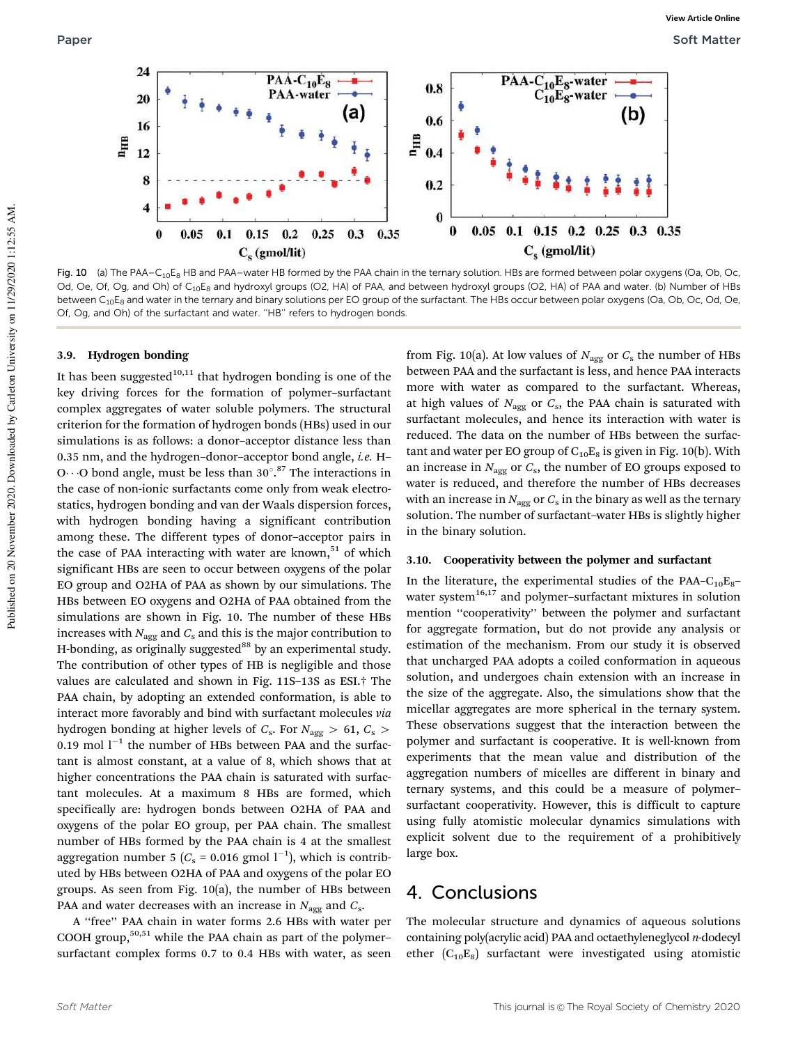

Fig. 10 (a) The PAA–C<sub>10</sub>E<sub>8</sub> HB and PAA–water HB formed by the PAA chain in the ternary solution. HBs are formed between polar oxygens (Oa, Ob, Oc, Od, Oe, Of, Og, and Oh) of C<sub>10</sub>E<sub>8</sub> and hydroxyl groups (O2, HA) of PAA, and between hydroxyl groups (O2, HA) of PAA and water. (b) Number of HBs between C<sub>10</sub>E<sub>8</sub> and water in the ternary and binary solutions per EO group of the surfactant. The HBs occur between polar oxygens (Oa, Ob, Oc, Od, Oe, Of, Og, and Oh) of the surfactant and water. ''HB'' refers to hydrogen bonds.

#### 3.9. Hydrogen bonding

It has been suggested $10,11$  that hydrogen bonding is one of the key driving forces for the formation of polymer–surfactant complex aggregates of water soluble polymers. The structural criterion for the formation of hydrogen bonds (HBs) used in our simulations is as follows: a donor–acceptor distance less than 0.35 nm, and the hydrogen–donor–acceptor bond angle, i.e. H– O  $\cdot$  O bond angle, must be less than 30°.<sup>87</sup> The interactions in the case of non-ionic surfactants come only from weak electrostatics, hydrogen bonding and van der Waals dispersion forces, with hydrogen bonding having a significant contribution among these. The different types of donor–acceptor pairs in the case of PAA interacting with water are known,<sup>51</sup> of which significant HBs are seen to occur between oxygens of the polar EO group and O2HA of PAA as shown by our simulations. The HBs between EO oxygens and O2HA of PAA obtained from the simulations are shown in Fig. 10. The number of these HBs increases with  $N_{\text{agg}}$  and  $C_{\text{s}}$  and this is the major contribution to H-bonding, as originally suggested $88$  by an experimental study. The contribution of other types of HB is negligible and those values are calculated and shown in Fig. 11S–13S as ESI.† The PAA chain, by adopting an extended conformation, is able to interact more favorably and bind with surfactant molecules via hydrogen bonding at higher levels of  $C_s$ . For  $N_{\text{agg}} > 61, C_s > 1$ 0.19 mol  $l^{-1}$  the number of HBs between PAA and the surfactant is almost constant, at a value of 8, which shows that at higher concentrations the PAA chain is saturated with surfactant molecules. At a maximum 8 HBs are formed, which specifically are: hydrogen bonds between O2HA of PAA and oxygens of the polar EO group, per PAA chain. The smallest number of HBs formed by the PAA chain is 4 at the smallest aggregation number 5 ( $C_s$  = 0.016 gmol  $1^{-1}$ ), which is contributed by HBs between O2HA of PAA and oxygens of the polar EO groups. As seen from Fig. 10(a), the number of HBs between PAA and water decreases with an increase in  $N_{\rm agg}$  and  $C_{\rm s}$ .

A ''free'' PAA chain in water forms 2.6 HBs with water per COOH group,<sup>50,51</sup> while the PAA chain as part of the polymersurfactant complex forms 0.7 to 0.4 HBs with water, as seen

from Fig. 10(a). At low values of  $N_{\rm agg}$  or  $C_{\rm s}$  the number of HBs between PAA and the surfactant is less, and hence PAA interacts more with water as compared to the surfactant. Whereas, at high values of  $N_{\rm agg}$  or  $C_{\rm s}$ , the PAA chain is saturated with surfactant molecules, and hence its interaction with water is reduced. The data on the number of HBs between the surfactant and water per EO group of  $C_{10}E_8$  is given in Fig. 10(b). With an increase in  $N_{\rm agg}$  or  $C_{\rm s}$ , the number of EO groups exposed to water is reduced, and therefore the number of HBs decreases with an increase in  $N_{\rm agg}$  or  $C_{\rm s}$  in the binary as well as the ternary solution. The number of surfactant–water HBs is slightly higher in the binary solution.

#### 3.10. Cooperativity between the polymer and surfactant

In the literature, the experimental studies of the PAA– $C_{10}E_8$ – water system $16,17$  and polymer-surfactant mixtures in solution mention ''cooperativity'' between the polymer and surfactant for aggregate formation, but do not provide any analysis or estimation of the mechanism. From our study it is observed that uncharged PAA adopts a coiled conformation in aqueous solution, and undergoes chain extension with an increase in the size of the aggregate. Also, the simulations show that the micellar aggregates are more spherical in the ternary system. These observations suggest that the interaction between the polymer and surfactant is cooperative. It is well-known from experiments that the mean value and distribution of the aggregation numbers of micelles are different in binary and ternary systems, and this could be a measure of polymer– surfactant cooperativity. However, this is difficult to capture using fully atomistic molecular dynamics simulations with explicit solvent due to the requirement of a prohibitively large box.

### 4. Conclusions

The molecular structure and dynamics of aqueous solutions containing poly(acrylic acid) PAA and octaethyleneglycol n-dodecyl ether  $(C_{10}E_8)$  surfactant were investigated using atomistic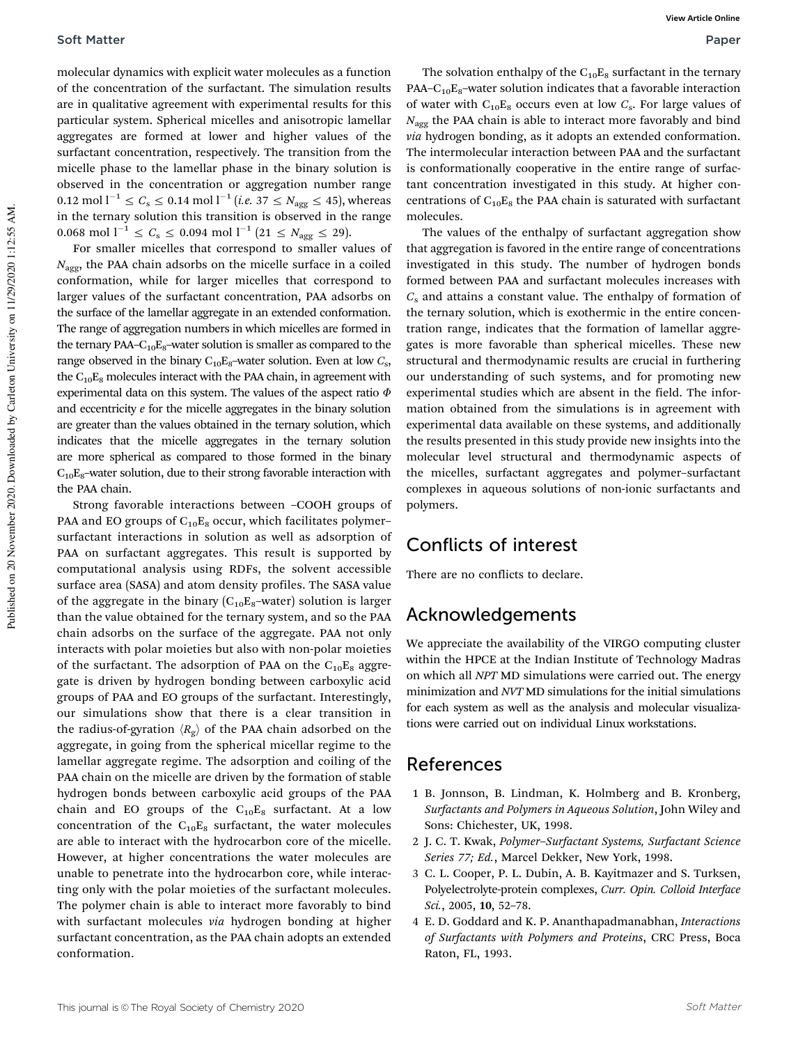molecular dynamics with explicit water molecules as a function of the concentration of the surfactant. The simulation results are in qualitative agreement with experimental results for this particular system. Spherical micelles and anisotropic lamellar aggregates are formed at lower and higher values of the surfactant concentration, respectively. The transition from the micelle phase to the lamellar phase in the binary solution is observed in the concentration or aggregation number range 0.12 mol  $l^{-1} \le C_s \le 0.14$  mol  $l^{-1}$   $(i.e.$  37  $\le N_{\text{agg}} \le 45)$ , whereas in the ternary solution this transition is observed in the range 0.068 mol  $l^{-1} \le C_s \le 0.094$  mol  $l^{-1}$   $(21 \le N_{\text{agg}} \le 29)$ .

For smaller micelles that correspond to smaller values of  $N_{\text{agg}}$ , the PAA chain adsorbs on the micelle surface in a coiled conformation, while for larger micelles that correspond to larger values of the surfactant concentration, PAA adsorbs on the surface of the lamellar aggregate in an extended conformation. The range of aggregation numbers in which micelles are formed in the ternary PAA– $C_{10}E_8$ –water solution is smaller as compared to the range observed in the binary  $\mathrm{C_{10}E_{8}}$ –water solution. Even at low  $C_{\mathrm{s}},$ the  $C_{10}E_8$  molecules interact with the PAA chain, in agreement with experimental data on this system. The values of the aspect ratio  $\Phi$ and eccentricity  $e$  for the micelle aggregates in the binary solution are greater than the values obtained in the ternary solution, which indicates that the micelle aggregates in the ternary solution are more spherical as compared to those formed in the binary  $C_{10}E_8$ -water solution, due to their strong favorable interaction with the PAA chain.

Strong favorable interactions between –COOH groups of PAA and EO groups of  $C_{10}E_8$  occur, which facilitates polymersurfactant interactions in solution as well as adsorption of PAA on surfactant aggregates. This result is supported by computational analysis using RDFs, the solvent accessible surface area (SASA) and atom density profiles. The SASA value of the aggregate in the binary  $(C_{10}E_8$ -water) solution is larger than the value obtained for the ternary system, and so the PAA chain adsorbs on the surface of the aggregate. PAA not only interacts with polar moieties but also with non-polar moieties of the surfactant. The adsorption of PAA on the  $C_{10}E_8$  aggregate is driven by hydrogen bonding between carboxylic acid groups of PAA and EO groups of the surfactant. Interestingly, our simulations show that there is a clear transition in the radius-of-gyration  $\langle R_g \rangle$  of the PAA chain adsorbed on the aggregate, in going from the spherical micellar regime to the lamellar aggregate regime. The adsorption and coiling of the PAA chain on the micelle are driven by the formation of stable hydrogen bonds between carboxylic acid groups of the PAA chain and EO groups of the  $C_{10}E_8$  surfactant. At a low concentration of the  $C_{10}E_8$  surfactant, the water molecules are able to interact with the hydrocarbon core of the micelle. However, at higher concentrations the water molecules are unable to penetrate into the hydrocarbon core, while interacting only with the polar moieties of the surfactant molecules. The polymer chain is able to interact more favorably to bind with surfactant molecules via hydrogen bonding at higher surfactant concentration, as the PAA chain adopts an extended conformation.

The solvation enthalpy of the  $C_{10}E_8$  surfactant in the ternary PAA– $C_{10}E_8$ –water solution indicates that a favorable interaction of water with  $C_{10}E_8$  occurs even at low  $C_s$ . For large values of  $N_{\text{agg}}$  the PAA chain is able to interact more favorably and bind via hydrogen bonding, as it adopts an extended conformation. The intermolecular interaction between PAA and the surfactant is conformationally cooperative in the entire range of surfactant concentration investigated in this study. At higher concentrations of  $C_{10}E_8$  the PAA chain is saturated with surfactant molecules.

The values of the enthalpy of surfactant aggregation show that aggregation is favored in the entire range of concentrations investigated in this study. The number of hydrogen bonds formed between PAA and surfactant molecules increases with  $C_s$  and attains a constant value. The enthalpy of formation of the ternary solution, which is exothermic in the entire concentration range, indicates that the formation of lamellar aggregates is more favorable than spherical micelles. These new structural and thermodynamic results are crucial in furthering our understanding of such systems, and for promoting new experimental studies which are absent in the field. The information obtained from the simulations is in agreement with experimental data available on these systems, and additionally the results presented in this study provide new insights into the molecular level structural and thermodynamic aspects of the micelles, surfactant aggregates and polymer–surfactant complexes in aqueous solutions of non-ionic surfactants and polymers.

## Conflicts of interest

There are no conflicts to declare.

## Acknowledgements

We appreciate the availability of the VIRGO computing cluster within the HPCE at the Indian Institute of Technology Madras on which all NPT MD simulations were carried out. The energy minimization and NVT MD simulations for the initial simulations for each system as well as the analysis and molecular visualizations were carried out on individual Linux workstations.

### References

- 1 B. Jonnson, B. Lindman, K. Holmberg and B. Kronberg, Surfactants and Polymers in Aqueous Solution, John Wiley and Sons: Chichester, UK, 1998.
- 2 J. C. T. Kwak, Polymer–Surfactant Systems, Surfactant Science Series 77; Ed., Marcel Dekker, New York, 1998.
- 3 C. L. Cooper, P. L. Dubin, A. B. Kayitmazer and S. Turksen, Polyelectrolyte-protein complexes, Curr. Opin. Colloid Interface Sci., 2005, 10, 52–78.
- 4 E. D. Goddard and K. P. Ananthapadmanabhan, Interactions of Surfactants with Polymers and Proteins, CRC Press, Boca Raton, FL, 1993.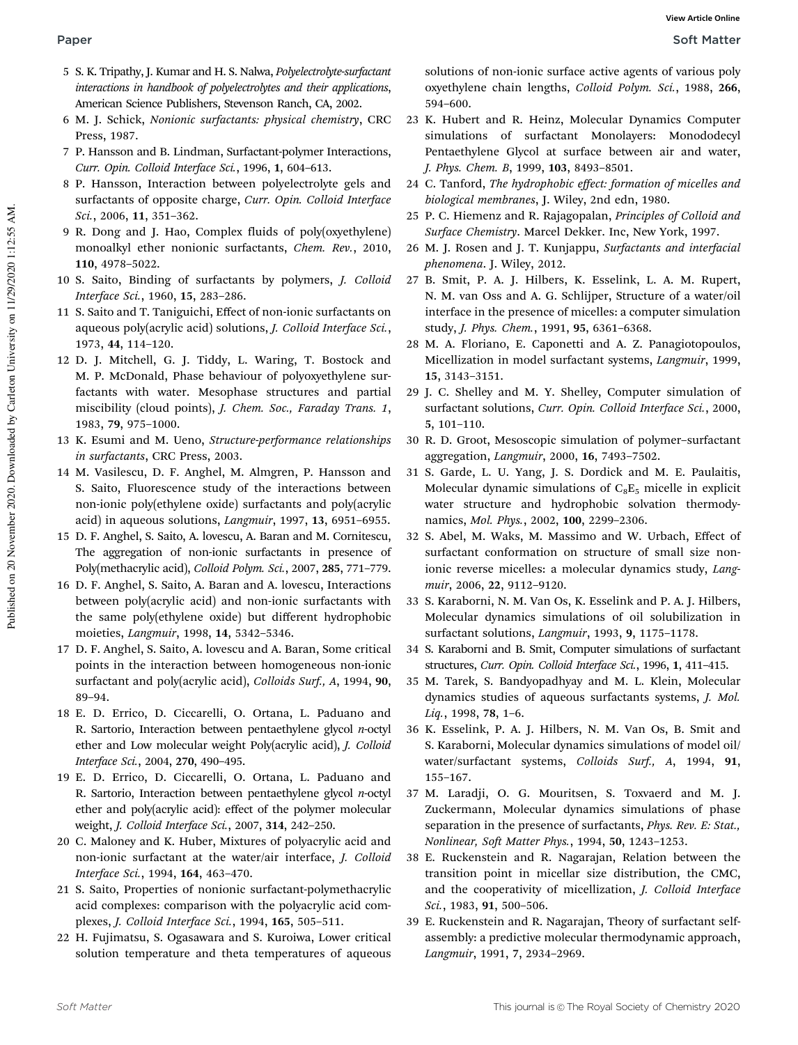- 5 S. K. Tripathy, J. Kumar and H. S. Nalwa, Polyelectrolyte-surfactant interactions in handbook of polyelectrolytes and their applications, American Science Publishers, Stevenson Ranch, CA, 2002.
- 6 M. J. Schick, Nonionic surfactants: physical chemistry, CRC Press, 1987.
- 7 P. Hansson and B. Lindman, Surfactant-polymer Interactions, Curr. Opin. Colloid Interface Sci., 1996, 1, 604–613.
- 8 P. Hansson, Interaction between polyelectrolyte gels and surfactants of opposite charge, Curr. Opin. Colloid Interface Sci., 2006, 11, 351–362.
- 9 R. Dong and J. Hao, Complex fluids of poly(oxyethylene) monoalkyl ether nonionic surfactants, Chem. Rev., 2010, 110, 4978–5022.
- 10 S. Saito, Binding of surfactants by polymers, J. Colloid Interface Sci., 1960, 15, 283–286.
- 11 S. Saito and T. Taniguichi, Effect of non-ionic surfactants on aqueous poly(acrylic acid) solutions, J. Colloid Interface Sci., 1973, 44, 114–120.
- 12 D. J. Mitchell, G. J. Tiddy, L. Waring, T. Bostock and M. P. McDonald, Phase behaviour of polyoxyethylene surfactants with water. Mesophase structures and partial miscibility (cloud points), J. Chem. Soc., Faraday Trans. 1, 1983, 79, 975–1000.
- 13 K. Esumi and M. Ueno, Structure-performance relationships in surfactants, CRC Press, 2003.
- 14 M. Vasilescu, D. F. Anghel, M. Almgren, P. Hansson and S. Saito, Fluorescence study of the interactions between non-ionic poly(ethylene oxide) surfactants and poly(acrylic acid) in aqueous solutions, Langmuir, 1997, 13, 6951–6955.
- 15 D. F. Anghel, S. Saito, A. lovescu, A. Baran and M. Cornitescu, The aggregation of non-ionic surfactants in presence of Poly(methacrylic acid), Colloid Polym. Sci., 2007, 285, 771–779.
- 16 D. F. Anghel, S. Saito, A. Baran and A. lovescu, Interactions between poly(acrylic acid) and non-ionic surfactants with the same poly(ethylene oxide) but different hydrophobic moieties, Langmuir, 1998, 14, 5342–5346.
- 17 D. F. Anghel, S. Saito, A. lovescu and A. Baran, Some critical points in the interaction between homogeneous non-ionic surfactant and poly(acrylic acid), Colloids Surf., A, 1994, 90, 89–94.
- 18 E. D. Errico, D. Ciccarelli, O. Ortana, L. Paduano and R. Sartorio, Interaction between pentaethylene glycol  $n$ -octyl ether and Low molecular weight Poly(acrylic acid), J. Colloid Interface Sci., 2004, 270, 490–495.
- 19 E. D. Errico, D. Ciccarelli, O. Ortana, L. Paduano and R. Sartorio, Interaction between pentaethylene glycol  $n$ -octyl ether and poly(acrylic acid): effect of the polymer molecular weight, J. Colloid Interface Sci., 2007, 314, 242–250.
- 20 C. Maloney and K. Huber, Mixtures of polyacrylic acid and non-ionic surfactant at the water/air interface, J. Colloid Interface Sci., 1994, 164, 463–470.
- 21 S. Saito, Properties of nonionic surfactant-polymethacrylic acid complexes: comparison with the polyacrylic acid complexes, J. Colloid Interface Sci., 1994, 165, 505–511.
- 22 H. Fujimatsu, S. Ogasawara and S. Kuroiwa, Lower critical solution temperature and theta temperatures of aqueous

solutions of non-ionic surface active agents of various poly oxyethylene chain lengths, Colloid Polym. Sci., 1988, 266, 594–600.

- 23 K. Hubert and R. Heinz, Molecular Dynamics Computer simulations of surfactant Monolayers: Monododecyl Pentaethylene Glycol at surface between air and water, J. Phys. Chem. B, 1999, 103, 8493–8501.
- 24 C. Tanford, The hydrophobic effect: formation of micelles and biological membranes, J. Wiley, 2nd edn, 1980.
- 25 P. C. Hiemenz and R. Rajagopalan, Principles of Colloid and Surface Chemistry. Marcel Dekker. Inc, New York, 1997.
- 26 M. J. Rosen and J. T. Kunjappu, Surfactants and interfacial phenomena. J. Wiley, 2012.
- 27 B. Smit, P. A. J. Hilbers, K. Esselink, L. A. M. Rupert, N. M. van Oss and A. G. Schlijper, Structure of a water/oil interface in the presence of micelles: a computer simulation study, J. Phys. Chem., 1991, 95, 6361–6368.
- 28 M. A. Floriano, E. Caponetti and A. Z. Panagiotopoulos, Micellization in model surfactant systems, Langmuir, 1999, 15, 3143–3151.
- 29 J. C. Shelley and M. Y. Shelley, Computer simulation of surfactant solutions, Curr. Opin. Colloid Interface Sci., 2000, 5, 101–110.
- 30 R. D. Groot, Mesoscopic simulation of polymer–surfactant aggregation, Langmuir, 2000, 16, 7493–7502.
- 31 S. Garde, L. U. Yang, J. S. Dordick and M. E. Paulaitis, Molecular dynamic simulations of  $C_8E_5$  micelle in explicit water structure and hydrophobic solvation thermodynamics, Mol. Phys., 2002, 100, 2299–2306.
- 32 S. Abel, M. Waks, M. Massimo and W. Urbach, Effect of surfactant conformation on structure of small size nonionic reverse micelles: a molecular dynamics study, Langmuir, 2006, 22, 9112–9120.
- 33 S. Karaborni, N. M. Van Os, K. Esselink and P. A. J. Hilbers, Molecular dynamics simulations of oil solubilization in surfactant solutions, Langmuir, 1993, 9, 1175–1178.
- 34 S. Karaborni and B. Smit, Computer simulations of surfactant structures, Curr. Opin. Colloid Interface Sci., 1996, 1, 411–415.
- 35 M. Tarek, S. Bandyopadhyay and M. L. Klein, Molecular dynamics studies of aqueous surfactants systems, J. Mol. Liq., 1998, 78, 1–6.
- 36 K. Esselink, P. A. J. Hilbers, N. M. Van Os, B. Smit and S. Karaborni, Molecular dynamics simulations of model oil/ water/surfactant systems, Colloids Surf., A, 1994, 91, 155–167.
- 37 M. Laradji, O. G. Mouritsen, S. Toxvaerd and M. J. Zuckermann, Molecular dynamics simulations of phase separation in the presence of surfactants, *Phys. Rev. E: Stat.*, Nonlinear, Soft Matter Phys., 1994, 50, 1243–1253.
- 38 E. Ruckenstein and R. Nagarajan, Relation between the transition point in micellar size distribution, the CMC, and the cooperativity of micellization, J. Colloid Interface Sci., 1983, 91, 500–506.
- 39 E. Ruckenstein and R. Nagarajan, Theory of surfactant selfassembly: a predictive molecular thermodynamic approach, Langmuir, 1991, 7, 2934–2969.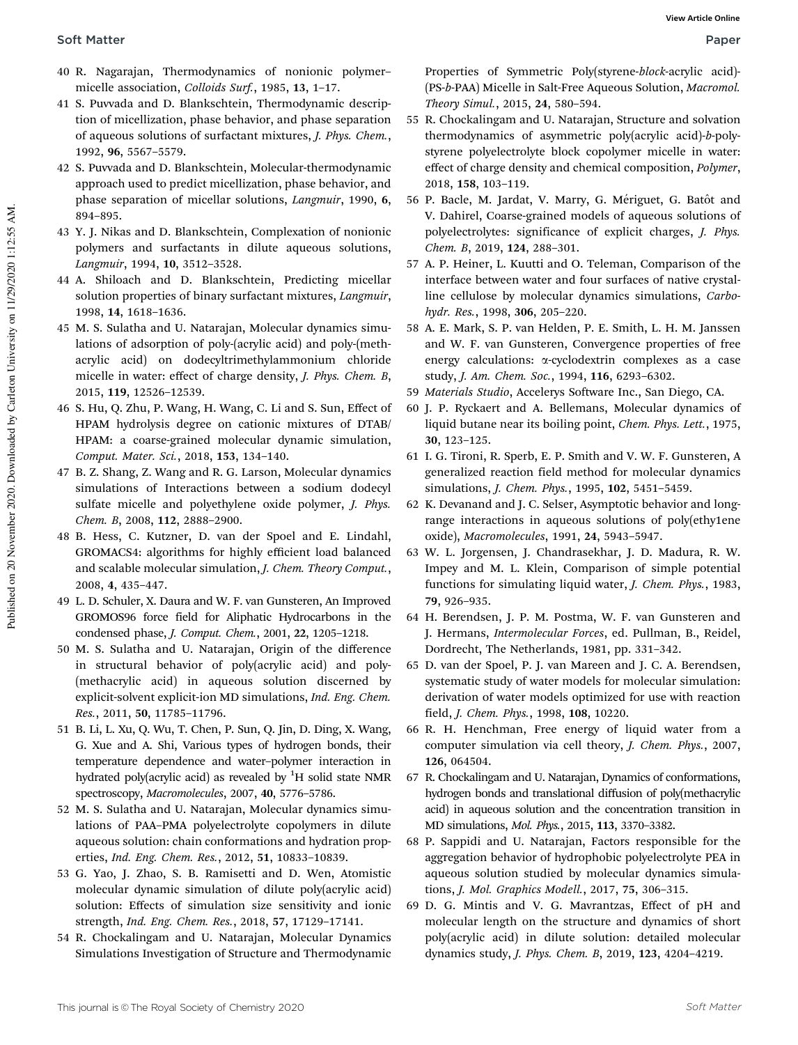- 40 R. Nagarajan, Thermodynamics of nonionic polymer– micelle association, Colloids Surf., 1985, 13, 1–17.
- 41 S. Puvvada and D. Blankschtein, Thermodynamic description of micellization, phase behavior, and phase separation of aqueous solutions of surfactant mixtures, J. Phys. Chem., 1992, 96, 5567–5579.
- 42 S. Puvvada and D. Blankschtein, Molecular-thermodynamic approach used to predict micellization, phase behavior, and phase separation of micellar solutions, Langmuir, 1990, 6, 894–895.
- 43 Y. J. Nikas and D. Blankschtein, Complexation of nonionic polymers and surfactants in dilute aqueous solutions, Langmuir, 1994, 10, 3512–3528.
- 44 A. Shiloach and D. Blankschtein, Predicting micellar solution properties of binary surfactant mixtures, *Langmuir*, 1998, 14, 1618–1636.
- 45 M. S. Sulatha and U. Natarajan, Molecular dynamics simulations of adsorption of poly-(acrylic acid) and poly-(methacrylic acid) on dodecyltrimethylammonium chloride micelle in water: effect of charge density, J. Phys. Chem. B, 2015, 119, 12526–12539.
- 46 S. Hu, Q. Zhu, P. Wang, H. Wang, C. Li and S. Sun, Effect of HPAM hydrolysis degree on cationic mixtures of DTAB/ HPAM: a coarse-grained molecular dynamic simulation, Comput. Mater. Sci., 2018, 153, 134–140.
- 47 B. Z. Shang, Z. Wang and R. G. Larson, Molecular dynamics simulations of Interactions between a sodium dodecyl sulfate micelle and polyethylene oxide polymer, *J. Phys.* Chem. B, 2008, 112, 2888–2900.
- 48 B. Hess, C. Kutzner, D. van der Spoel and E. Lindahl, GROMACS4: algorithms for highly efficient load balanced and scalable molecular simulation, *J. Chem. Theory Comput.*, 2008, 4, 435–447.
- 49 L. D. Schuler, X. Daura and W. F. van Gunsteren, An Improved GROMOS96 force field for Aliphatic Hydrocarbons in the condensed phase, J. Comput. Chem., 2001, 22, 1205–1218.
- 50 M. S. Sulatha and U. Natarajan, Origin of the difference in structural behavior of poly(acrylic acid) and poly- (methacrylic acid) in aqueous solution discerned by explicit-solvent explicit-ion MD simulations, Ind. Eng. Chem. Res., 2011, 50, 11785–11796.
- 51 B. Li, L. Xu, Q. Wu, T. Chen, P. Sun, Q. Jin, D. Ding, X. Wang, G. Xue and A. Shi, Various types of hydrogen bonds, their temperature dependence and water–polymer interaction in hydrated poly(acrylic acid) as revealed by  ${}^{1}H$  solid state NMR spectroscopy, Macromolecules, 2007, 40, 5776–5786.
- 52 M. S. Sulatha and U. Natarajan, Molecular dynamics simulations of PAA–PMA polyelectrolyte copolymers in dilute aqueous solution: chain conformations and hydration properties, Ind. Eng. Chem. Res., 2012, 51, 10833–10839.
- 53 G. Yao, J. Zhao, S. B. Ramisetti and D. Wen, Atomistic molecular dynamic simulation of dilute poly(acrylic acid) solution: Effects of simulation size sensitivity and ionic strength, Ind. Eng. Chem. Res., 2018, 57, 17129–17141.
- 54 R. Chockalingam and U. Natarajan, Molecular Dynamics Simulations Investigation of Structure and Thermodynamic

Properties of Symmetric Poly(styrene-block-acrylic acid)- (PS-b-PAA) Micelle in Salt-Free Aqueous Solution, Macromol. Theory Simul., 2015, 24, 580–594.

- 55 R. Chockalingam and U. Natarajan, Structure and solvation thermodynamics of asymmetric poly(acrylic acid)-b-polystyrene polyelectrolyte block copolymer micelle in water: effect of charge density and chemical composition, Polymer, 2018, 158, 103–119.
- 56 P. Bacle, M. Jardat, V. Marry, G. Mériguet, G. Batôt and V. Dahirel, Coarse-grained models of aqueous solutions of polyelectrolytes: significance of explicit charges, J. Phys. Chem. B, 2019, 124, 288–301.
- 57 A. P. Heiner, L. Kuutti and O. Teleman, Comparison of the interface between water and four surfaces of native crystalline cellulose by molecular dynamics simulations, Carbohydr. Res., 1998, 306, 205–220.
- 58 A. E. Mark, S. P. van Helden, P. E. Smith, L. H. M. Janssen and W. F. van Gunsteren, Convergence properties of free energy calculations: a-cyclodextrin complexes as a case study, J. Am. Chem. Soc., 1994, 116, 6293–6302.
- 59 Materials Studio, Accelerys Software Inc., San Diego, CA.
- 60 J. P. Ryckaert and A. Bellemans, Molecular dynamics of liquid butane near its boiling point, Chem. Phys. Lett., 1975, 30, 123–125.
- 61 I. G. Tironi, R. Sperb, E. P. Smith and V. W. F. Gunsteren, A generalized reaction field method for molecular dynamics simulations, J. Chem. Phys., 1995, 102, 5451–5459.
- 62 K. Devanand and J. C. Selser, Asymptotic behavior and longrange interactions in aqueous solutions of poly(ethy1ene oxide), Macromolecules, 1991, 24, 5943–5947.
- 63 W. L. Jorgensen, J. Chandrasekhar, J. D. Madura, R. W. Impey and M. L. Klein, Comparison of simple potential functions for simulating liquid water, J. Chem. Phys., 1983, 79, 926–935.
- 64 H. Berendsen, J. P. M. Postma, W. F. van Gunsteren and J. Hermans, Intermolecular Forces, ed. Pullman, B., Reidel, Dordrecht, The Netherlands, 1981, pp. 331–342.
- 65 D. van der Spoel, P. J. van Mareen and J. C. A. Berendsen, systematic study of water models for molecular simulation: derivation of water models optimized for use with reaction field, J. Chem. Phys., 1998, 108, 10220.
- 66 R. H. Henchman, Free energy of liquid water from a computer simulation via cell theory, J. Chem. Phys., 2007, 126, 064504.
- 67 R. Chockalingam and U. Natarajan, Dynamics of conformations, hydrogen bonds and translational diffusion of poly(methacrylic acid) in aqueous solution and the concentration transition in MD simulations, Mol. Phys., 2015, 113, 3370–3382.
- 68 P. Sappidi and U. Natarajan, Factors responsible for the aggregation behavior of hydrophobic polyelectrolyte PEA in aqueous solution studied by molecular dynamics simulations, J. Mol. Graphics Modell., 2017, 75, 306–315.
- 69 D. G. Mintis and V. G. Mavrantzas, Effect of pH and molecular length on the structure and dynamics of short poly(acrylic acid) in dilute solution: detailed molecular dynamics study, J. Phys. Chem. B, 2019, 123, 4204–4219.